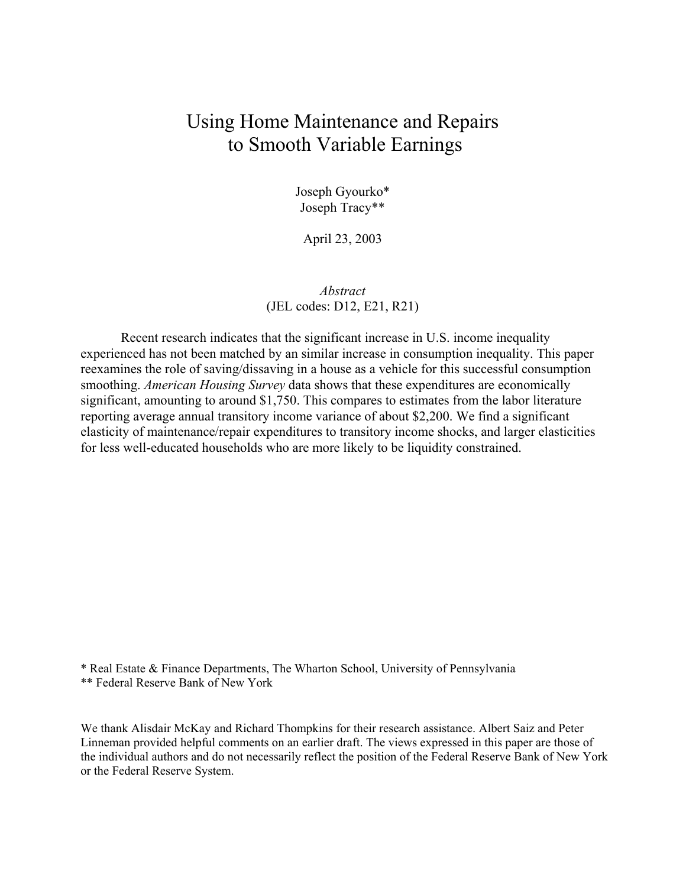# Using Home Maintenance and Repairs to Smooth Variable Earnings

Joseph Gyourko\* Joseph Tracy\*\*

April 23, 2003

*Abstract* (JEL codes: D12, E21, R21)

Recent research indicates that the significant increase in U.S. income inequality experienced has not been matched by an similar increase in consumption inequality. This paper reexamines the role of saving/dissaving in a house as a vehicle for this successful consumption smoothing. *American Housing Survey* data shows that these expenditures are economically significant, amounting to around \$1,750. This compares to estimates from the labor literature reporting average annual transitory income variance of about \$2,200. We find a significant elasticity of maintenance/repair expenditures to transitory income shocks, and larger elasticities for less well-educated households who are more likely to be liquidity constrained.

\* Real Estate & Finance Departments, The Wharton School, University of Pennsylvania

\*\* Federal Reserve Bank of New York

We thank Alisdair McKay and Richard Thompkins for their research assistance. Albert Saiz and Peter Linneman provided helpful comments on an earlier draft. The views expressed in this paper are those of the individual authors and do not necessarily reflect the position of the Federal Reserve Bank of New York or the Federal Reserve System.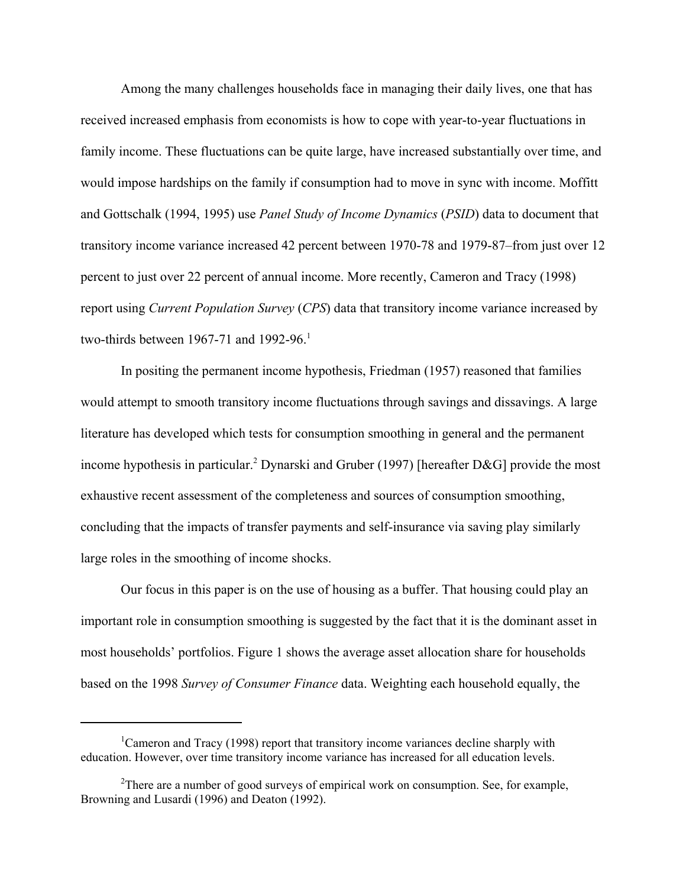Among the many challenges households face in managing their daily lives, one that has received increased emphasis from economists is how to cope with year-to-year fluctuations in family income. These fluctuations can be quite large, have increased substantially over time, and would impose hardships on the family if consumption had to move in sync with income. Moffitt and Gottschalk (1994, 1995) use *Panel Study of Income Dynamics* (*PSID*) data to document that transitory income variance increased 42 percent between 1970-78 and 1979-87–from just over 12 percent to just over 22 percent of annual income. More recently, Cameron and Tracy (1998) report using *Current Population Survey* (*CPS*) data that transitory income variance increased by two-thirds between 1967-71 and 1992-96.<sup>1</sup>

In positing the permanent income hypothesis, Friedman (1957) reasoned that families would attempt to smooth transitory income fluctuations through savings and dissavings. A large literature has developed which tests for consumption smoothing in general and the permanent income hypothesis in particular.<sup>2</sup> Dynarski and Gruber (1997) [hereafter D&G] provide the most exhaustive recent assessment of the completeness and sources of consumption smoothing, concluding that the impacts of transfer payments and self-insurance via saving play similarly large roles in the smoothing of income shocks.

Our focus in this paper is on the use of housing as a buffer. That housing could play an important role in consumption smoothing is suggested by the fact that it is the dominant asset in most households' portfolios. Figure 1 shows the average asset allocation share for households based on the 1998 *Survey of Consumer Finance* data. Weighting each household equally, the

<sup>&</sup>lt;sup>1</sup>Cameron and Tracy (1998) report that transitory income variances decline sharply with education. However, over time transitory income variance has increased for all education levels.

<sup>&</sup>lt;sup>2</sup>There are a number of good surveys of empirical work on consumption. See, for example, Browning and Lusardi (1996) and Deaton (1992).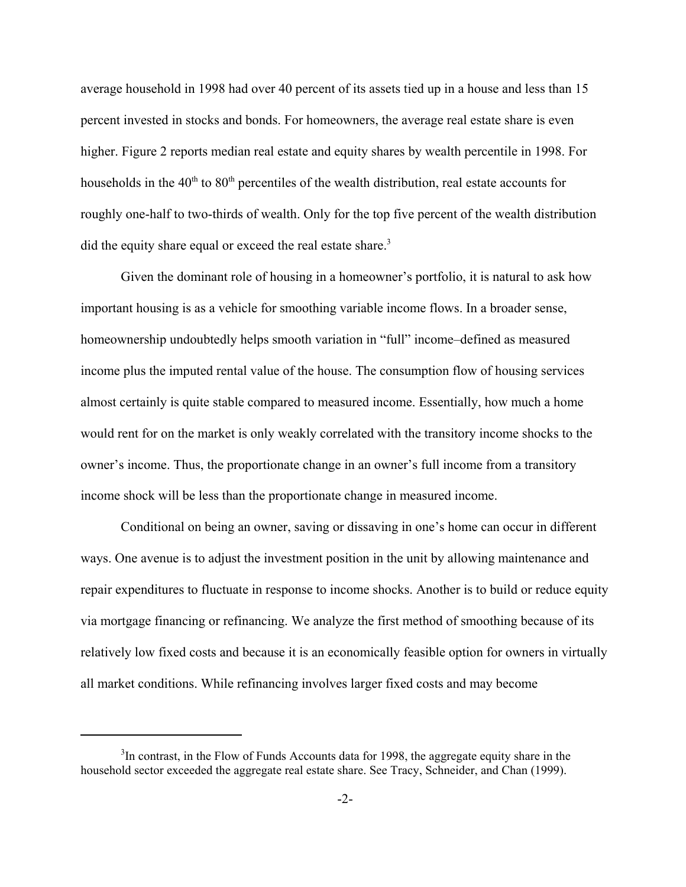average household in 1998 had over 40 percent of its assets tied up in a house and less than 15 percent invested in stocks and bonds. For homeowners, the average real estate share is even higher. Figure 2 reports median real estate and equity shares by wealth percentile in 1998. For households in the  $40<sup>th</sup>$  to  $80<sup>th</sup>$  percentiles of the wealth distribution, real estate accounts for roughly one-half to two-thirds of wealth. Only for the top five percent of the wealth distribution did the equity share equal or exceed the real estate share.<sup>3</sup>

Given the dominant role of housing in a homeowner's portfolio, it is natural to ask how important housing is as a vehicle for smoothing variable income flows. In a broader sense, homeownership undoubtedly helps smooth variation in "full" income–defined as measured income plus the imputed rental value of the house. The consumption flow of housing services almost certainly is quite stable compared to measured income. Essentially, how much a home would rent for on the market is only weakly correlated with the transitory income shocks to the owner's income. Thus, the proportionate change in an owner's full income from a transitory income shock will be less than the proportionate change in measured income.

Conditional on being an owner, saving or dissaving in one's home can occur in different ways. One avenue is to adjust the investment position in the unit by allowing maintenance and repair expenditures to fluctuate in response to income shocks. Another is to build or reduce equity via mortgage financing or refinancing. We analyze the first method of smoothing because of its relatively low fixed costs and because it is an economically feasible option for owners in virtually all market conditions. While refinancing involves larger fixed costs and may become

<sup>&</sup>lt;sup>3</sup>In contrast, in the Flow of Funds Accounts data for 1998, the aggregate equity share in the household sector exceeded the aggregate real estate share. See Tracy, Schneider, and Chan (1999).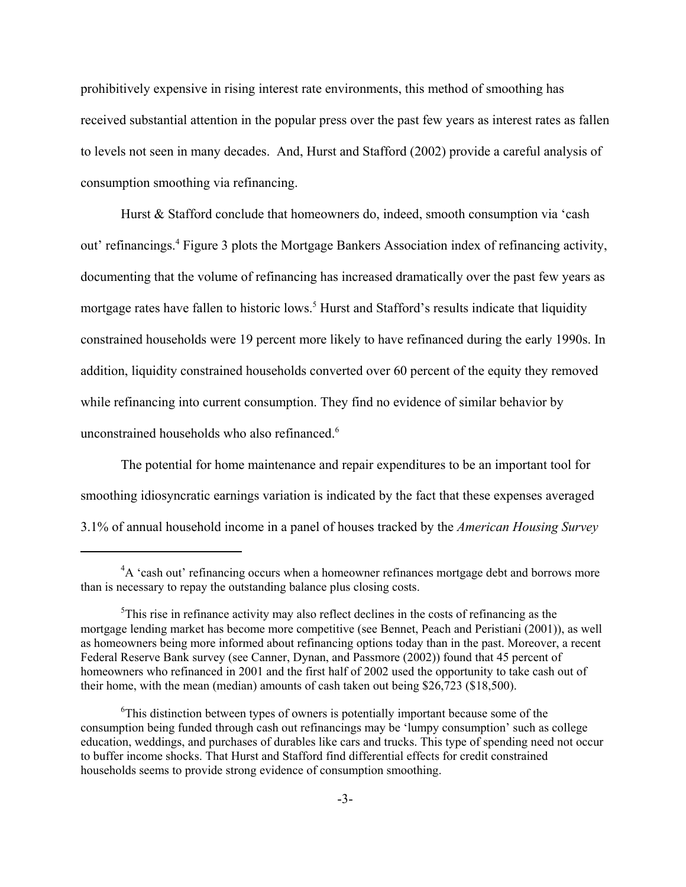prohibitively expensive in rising interest rate environments, this method of smoothing has received substantial attention in the popular press over the past few years as interest rates as fallen to levels not seen in many decades. And, Hurst and Stafford (2002) provide a careful analysis of consumption smoothing via refinancing.

Hurst & Stafford conclude that homeowners do, indeed, smooth consumption via 'cash out' refinancings.<sup>4</sup> Figure 3 plots the Mortgage Bankers Association index of refinancing activity, documenting that the volume of refinancing has increased dramatically over the past few years as mortgage rates have fallen to historic lows.<sup>5</sup> Hurst and Stafford's results indicate that liquidity constrained households were 19 percent more likely to have refinanced during the early 1990s. In addition, liquidity constrained households converted over 60 percent of the equity they removed while refinancing into current consumption. They find no evidence of similar behavior by unconstrained households who also refinanced.<sup>6</sup>

The potential for home maintenance and repair expenditures to be an important tool for smoothing idiosyncratic earnings variation is indicated by the fact that these expenses averaged 3.1% of annual household income in a panel of houses tracked by the *American Housing Survey*

<sup>&</sup>lt;sup>4</sup>A 'cash out' refinancing occurs when a homeowner refinances mortgage debt and borrows more than is necessary to repay the outstanding balance plus closing costs.

 $5$ This rise in refinance activity may also reflect declines in the costs of refinancing as the mortgage lending market has become more competitive (see Bennet, Peach and Peristiani (2001)), as well as homeowners being more informed about refinancing options today than in the past. Moreover, a recent Federal Reserve Bank survey (see Canner, Dynan, and Passmore (2002)) found that 45 percent of homeowners who refinanced in 2001 and the first half of 2002 used the opportunity to take cash out of their home, with the mean (median) amounts of cash taken out being \$26,723 (\$18,500).

<sup>&</sup>lt;sup>6</sup>This distinction between types of owners is potentially important because some of the consumption being funded through cash out refinancings may be 'lumpy consumption' such as college education, weddings, and purchases of durables like cars and trucks. This type of spending need not occur to buffer income shocks. That Hurst and Stafford find differential effects for credit constrained households seems to provide strong evidence of consumption smoothing.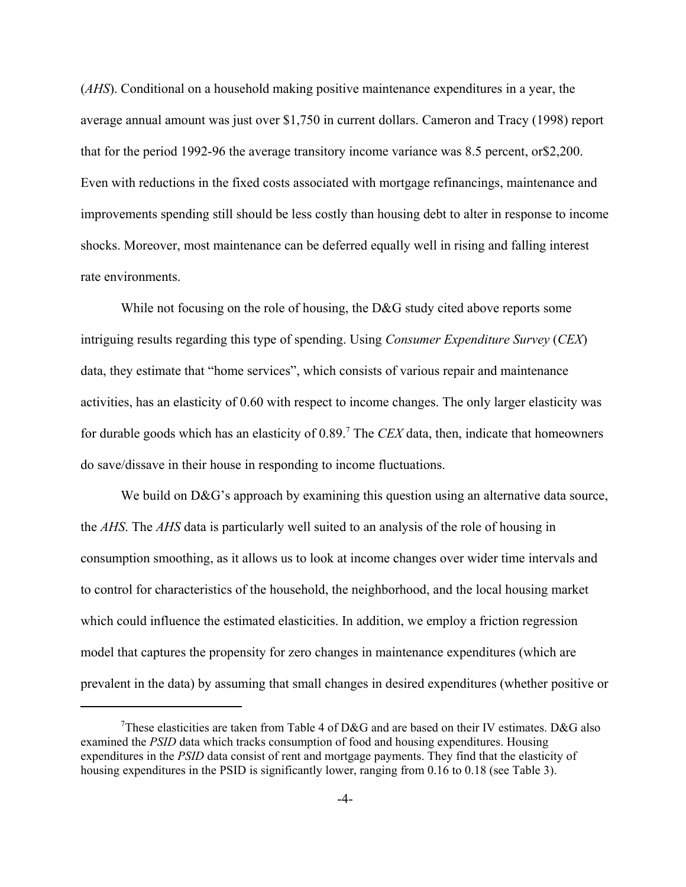(*AHS*). Conditional on a household making positive maintenance expenditures in a year, the average annual amount was just over \$1,750 in current dollars. Cameron and Tracy (1998) report that for the period 1992-96 the average transitory income variance was 8.5 percent, or\$2,200. Even with reductions in the fixed costs associated with mortgage refinancings, maintenance and improvements spending still should be less costly than housing debt to alter in response to income shocks. Moreover, most maintenance can be deferred equally well in rising and falling interest rate environments.

While not focusing on the role of housing, the D&G study cited above reports some intriguing results regarding this type of spending. Using *Consumer Expenditure Survey* (*CEX*) data, they estimate that "home services", which consists of various repair and maintenance activities, has an elasticity of 0.60 with respect to income changes. The only larger elasticity was for durable goods which has an elasticity of 0.89.<sup>7</sup> The *CEX* data, then, indicate that homeowners do save/dissave in their house in responding to income fluctuations.

We build on  $D\&G$ 's approach by examining this question using an alternative data source, the *AHS*. The *AHS* data is particularly well suited to an analysis of the role of housing in consumption smoothing, as it allows us to look at income changes over wider time intervals and to control for characteristics of the household, the neighborhood, and the local housing market which could influence the estimated elasticities. In addition, we employ a friction regression model that captures the propensity for zero changes in maintenance expenditures (which are prevalent in the data) by assuming that small changes in desired expenditures (whether positive or

<sup>&</sup>lt;sup>7</sup>These elasticities are taken from Table 4 of D&G and are based on their IV estimates. D&G also examined the *PSID* data which tracks consumption of food and housing expenditures. Housing expenditures in the *PSID* data consist of rent and mortgage payments. They find that the elasticity of housing expenditures in the PSID is significantly lower, ranging from 0.16 to 0.18 (see Table 3).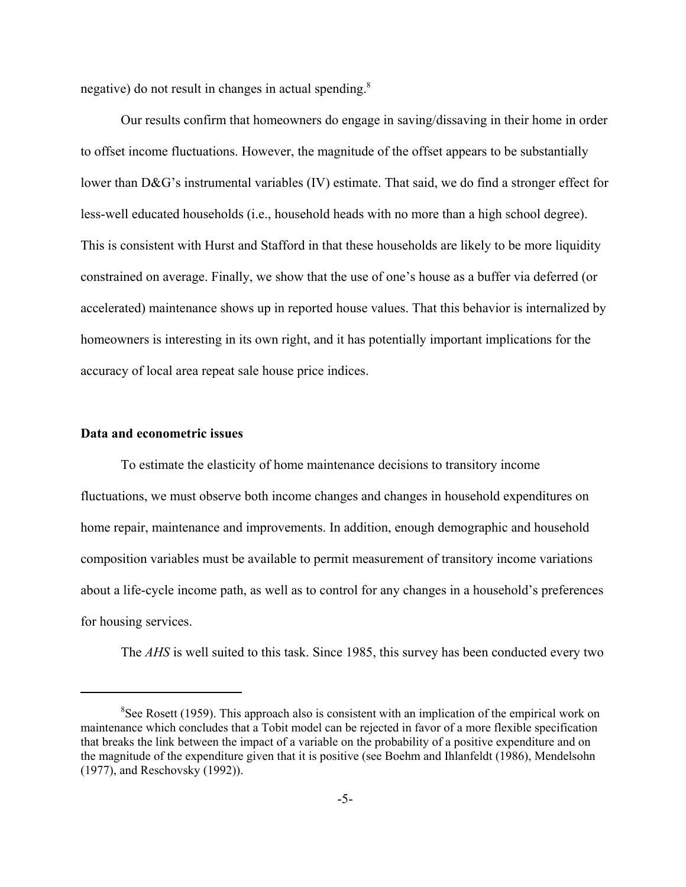negative) do not result in changes in actual spending.<sup>8</sup>

Our results confirm that homeowners do engage in saving/dissaving in their home in order to offset income fluctuations. However, the magnitude of the offset appears to be substantially lower than D&G's instrumental variables (IV) estimate. That said, we do find a stronger effect for less-well educated households (i.e., household heads with no more than a high school degree). This is consistent with Hurst and Stafford in that these households are likely to be more liquidity constrained on average. Finally, we show that the use of one's house as a buffer via deferred (or accelerated) maintenance shows up in reported house values. That this behavior is internalized by homeowners is interesting in its own right, and it has potentially important implications for the accuracy of local area repeat sale house price indices.

### **Data and econometric issues**

To estimate the elasticity of home maintenance decisions to transitory income fluctuations, we must observe both income changes and changes in household expenditures on home repair, maintenance and improvements. In addition, enough demographic and household composition variables must be available to permit measurement of transitory income variations about a life-cycle income path, as well as to control for any changes in a household's preferences for housing services.

The *AHS* is well suited to this task. Since 1985, this survey has been conducted every two

 ${}^{8}$ See Rosett (1959). This approach also is consistent with an implication of the empirical work on maintenance which concludes that a Tobit model can be rejected in favor of a more flexible specification that breaks the link between the impact of a variable on the probability of a positive expenditure and on the magnitude of the expenditure given that it is positive (see Boehm and Ihlanfeldt (1986), Mendelsohn (1977), and Reschovsky (1992)).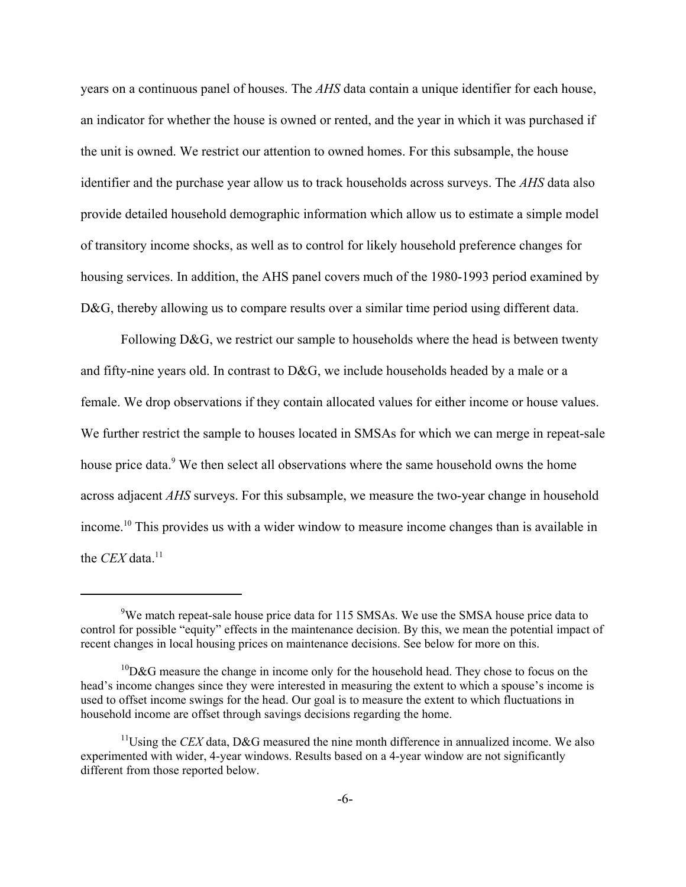years on a continuous panel of houses. The *AHS* data contain a unique identifier for each house, an indicator for whether the house is owned or rented, and the year in which it was purchased if the unit is owned. We restrict our attention to owned homes. For this subsample, the house identifier and the purchase year allow us to track households across surveys. The *AHS* data also provide detailed household demographic information which allow us to estimate a simple model of transitory income shocks, as well as to control for likely household preference changes for housing services. In addition, the AHS panel covers much of the 1980-1993 period examined by D&G, thereby allowing us to compare results over a similar time period using different data.

Following D&G, we restrict our sample to households where the head is between twenty and fifty-nine years old. In contrast to D&G, we include households headed by a male or a female. We drop observations if they contain allocated values for either income or house values. We further restrict the sample to houses located in SMSAs for which we can merge in repeat-sale house price data.<sup>9</sup> We then select all observations where the same household owns the home across adjacent *AHS* surveys. For this subsample, we measure the two-year change in household income.10 This provides us with a wider window to measure income changes than is available in the *CEX* data.<sup>11</sup>

<sup>&</sup>lt;sup>9</sup>We match repeat-sale house price data for 115 SMSAs. We use the SMSA house price data to control for possible "equity" effects in the maintenance decision. By this, we mean the potential impact of recent changes in local housing prices on maintenance decisions. See below for more on this.

 ${}^{10}D\&G$  measure the change in income only for the household head. They chose to focus on the head's income changes since they were interested in measuring the extent to which a spouse's income is used to offset income swings for the head. Our goal is to measure the extent to which fluctuations in household income are offset through savings decisions regarding the home.

 $11$ Using the *CEX* data, D&G measured the nine month difference in annualized income. We also experimented with wider, 4-year windows. Results based on a 4-year window are not significantly different from those reported below.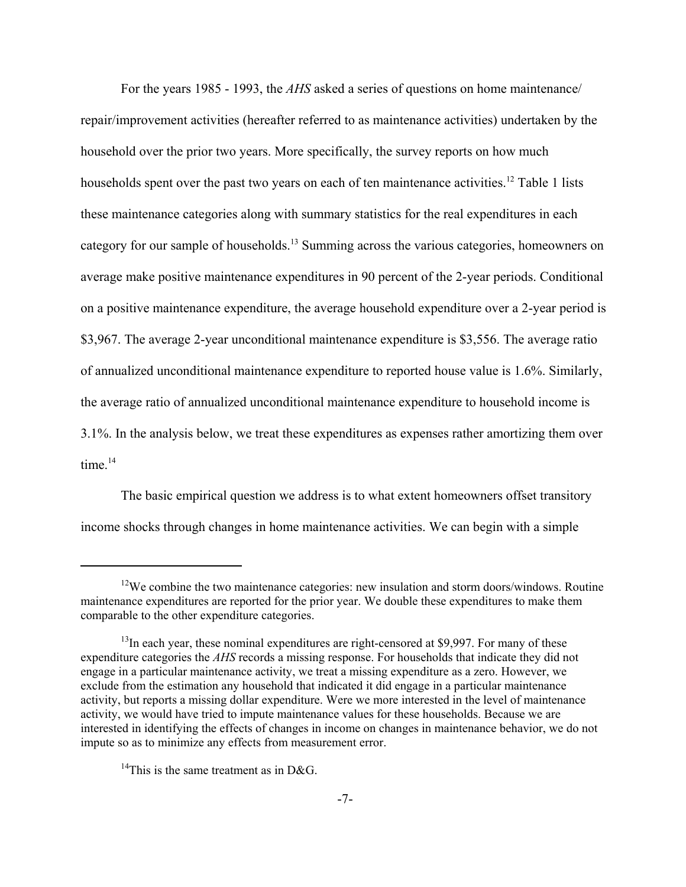For the years 1985 - 1993, the *AHS* asked a series of questions on home maintenance/ repair/improvement activities (hereafter referred to as maintenance activities) undertaken by the household over the prior two years. More specifically, the survey reports on how much households spent over the past two years on each of ten maintenance activities.<sup>12</sup> Table 1 lists these maintenance categories along with summary statistics for the real expenditures in each category for our sample of households.13 Summing across the various categories, homeowners on average make positive maintenance expenditures in 90 percent of the 2-year periods. Conditional on a positive maintenance expenditure, the average household expenditure over a 2-year period is \$3,967. The average 2-year unconditional maintenance expenditure is \$3,556. The average ratio of annualized unconditional maintenance expenditure to reported house value is 1.6%. Similarly, the average ratio of annualized unconditional maintenance expenditure to household income is 3.1%. In the analysis below, we treat these expenditures as expenses rather amortizing them over time $14$ 

The basic empirical question we address is to what extent homeowners offset transitory income shocks through changes in home maintenance activities. We can begin with a simple

<sup>&</sup>lt;sup>12</sup>We combine the two maintenance categories: new insulation and storm doors/windows. Routine maintenance expenditures are reported for the prior year. We double these expenditures to make them comparable to the other expenditure categories.

 $<sup>13</sup>$ In each year, these nominal expenditures are right-censored at \$9,997. For many of these</sup> expenditure categories the *AHS* records a missing response. For households that indicate they did not engage in a particular maintenance activity, we treat a missing expenditure as a zero. However, we exclude from the estimation any household that indicated it did engage in a particular maintenance activity, but reports a missing dollar expenditure. Were we more interested in the level of maintenance activity, we would have tried to impute maintenance values for these households. Because we are interested in identifying the effects of changes in income on changes in maintenance behavior, we do not impute so as to minimize any effects from measurement error.

<sup>&</sup>lt;sup>14</sup>This is the same treatment as in D&G.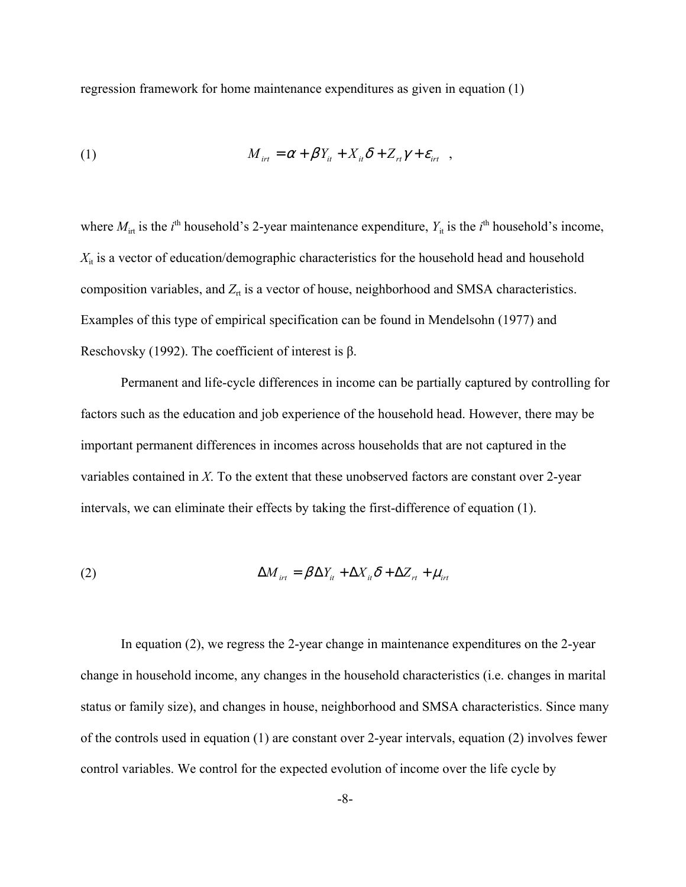regression framework for home maintenance expenditures as given in equation (1)

(1) 
$$
M_{\text{int}} = \alpha + \beta Y_{\text{it}} + X_{\text{it}} \delta + Z_{\text{rt}} \gamma + \varepsilon_{\text{int}} ,
$$

where  $M_{\text{int}}$  is the *i*<sup>th</sup> household's 2-year maintenance expenditure,  $Y_{\text{it}}$  is the *i*<sup>th</sup> household's income,  $X_{it}$  is a vector of education/demographic characteristics for the household head and household composition variables, and  $Z_{rt}$  is a vector of house, neighborhood and SMSA characteristics. Examples of this type of empirical specification can be found in Mendelsohn (1977) and Reschovsky (1992). The coefficient of interest is β.

Permanent and life-cycle differences in income can be partially captured by controlling for factors such as the education and job experience of the household head. However, there may be important permanent differences in incomes across households that are not captured in the variables contained in *X*. To the extent that these unobserved factors are constant over 2-year intervals, we can eliminate their effects by taking the first-difference of equation (1).

(2) 
$$
\Delta M_{\text{irr}} = \beta \Delta Y_{\text{it}} + \Delta X_{\text{it}} \delta + \Delta Z_{\text{rt}} + \mu_{\text{irr}}
$$

In equation (2), we regress the 2-year change in maintenance expenditures on the 2-year change in household income, any changes in the household characteristics (i.e. changes in marital status or family size), and changes in house, neighborhood and SMSA characteristics. Since many of the controls used in equation (1) are constant over 2-year intervals, equation (2) involves fewer control variables. We control for the expected evolution of income over the life cycle by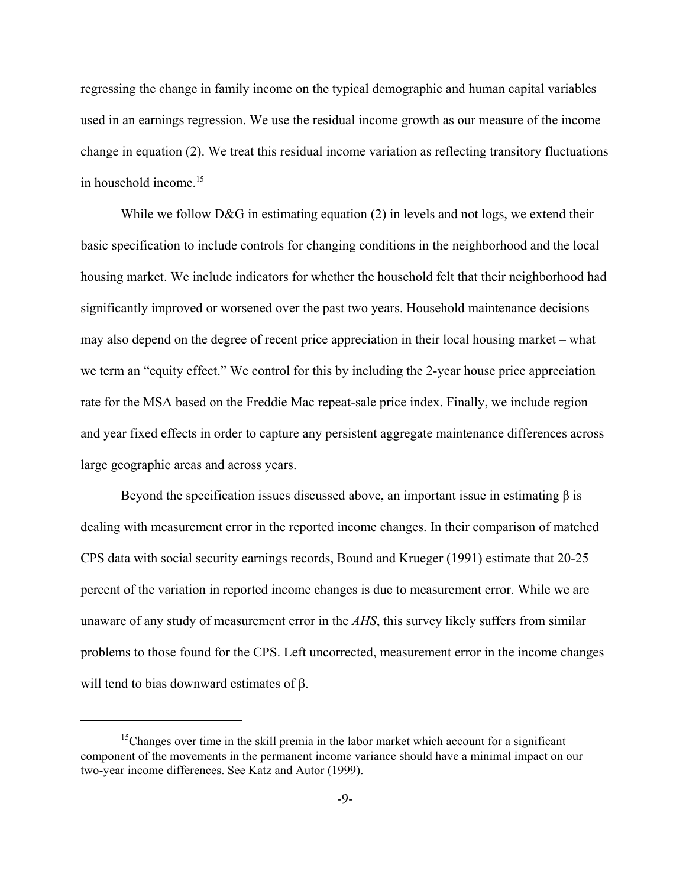regressing the change in family income on the typical demographic and human capital variables used in an earnings regression. We use the residual income growth as our measure of the income change in equation (2). We treat this residual income variation as reflecting transitory fluctuations in household income.<sup>15</sup>

While we follow D&G in estimating equation (2) in levels and not logs, we extend their basic specification to include controls for changing conditions in the neighborhood and the local housing market. We include indicators for whether the household felt that their neighborhood had significantly improved or worsened over the past two years. Household maintenance decisions may also depend on the degree of recent price appreciation in their local housing market – what we term an "equity effect." We control for this by including the 2-year house price appreciation rate for the MSA based on the Freddie Mac repeat-sale price index. Finally, we include region and year fixed effects in order to capture any persistent aggregate maintenance differences across large geographic areas and across years.

Beyond the specification issues discussed above, an important issue in estimating  $\beta$  is dealing with measurement error in the reported income changes. In their comparison of matched CPS data with social security earnings records, Bound and Krueger (1991) estimate that 20-25 percent of the variation in reported income changes is due to measurement error. While we are unaware of any study of measurement error in the *AHS*, this survey likely suffers from similar problems to those found for the CPS. Left uncorrected, measurement error in the income changes will tend to bias downward estimates of  $β$ .

<sup>&</sup>lt;sup>15</sup>Changes over time in the skill premia in the labor market which account for a significant component of the movements in the permanent income variance should have a minimal impact on our two-year income differences. See Katz and Autor (1999).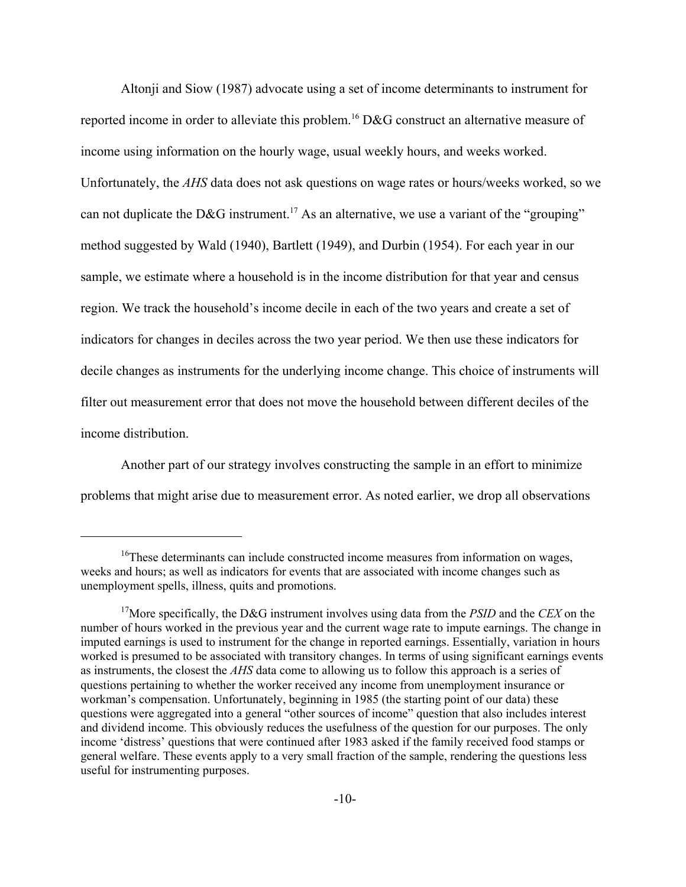Altonji and Siow (1987) advocate using a set of income determinants to instrument for reported income in order to alleviate this problem.<sup>16</sup> D&G construct an alternative measure of income using information on the hourly wage, usual weekly hours, and weeks worked. Unfortunately, the *AHS* data does not ask questions on wage rates or hours/weeks worked, so we can not duplicate the D&G instrument.<sup>17</sup> As an alternative, we use a variant of the "grouping" method suggested by Wald (1940), Bartlett (1949), and Durbin (1954). For each year in our sample, we estimate where a household is in the income distribution for that year and census region. We track the household's income decile in each of the two years and create a set of indicators for changes in deciles across the two year period. We then use these indicators for decile changes as instruments for the underlying income change. This choice of instruments will filter out measurement error that does not move the household between different deciles of the income distribution.

Another part of our strategy involves constructing the sample in an effort to minimize problems that might arise due to measurement error. As noted earlier, we drop all observations

<sup>&</sup>lt;sup>16</sup>These determinants can include constructed income measures from information on wages, weeks and hours; as well as indicators for events that are associated with income changes such as unemployment spells, illness, quits and promotions.

<sup>17</sup>More specifically, the D&G instrument involves using data from the *PSID* and the *CEX* on the number of hours worked in the previous year and the current wage rate to impute earnings. The change in imputed earnings is used to instrument for the change in reported earnings. Essentially, variation in hours worked is presumed to be associated with transitory changes. In terms of using significant earnings events as instruments, the closest the *AHS* data come to allowing us to follow this approach is a series of questions pertaining to whether the worker received any income from unemployment insurance or workman's compensation. Unfortunately, beginning in 1985 (the starting point of our data) these questions were aggregated into a general "other sources of income" question that also includes interest and dividend income. This obviously reduces the usefulness of the question for our purposes. The only income 'distress' questions that were continued after 1983 asked if the family received food stamps or general welfare. These events apply to a very small fraction of the sample, rendering the questions less useful for instrumenting purposes.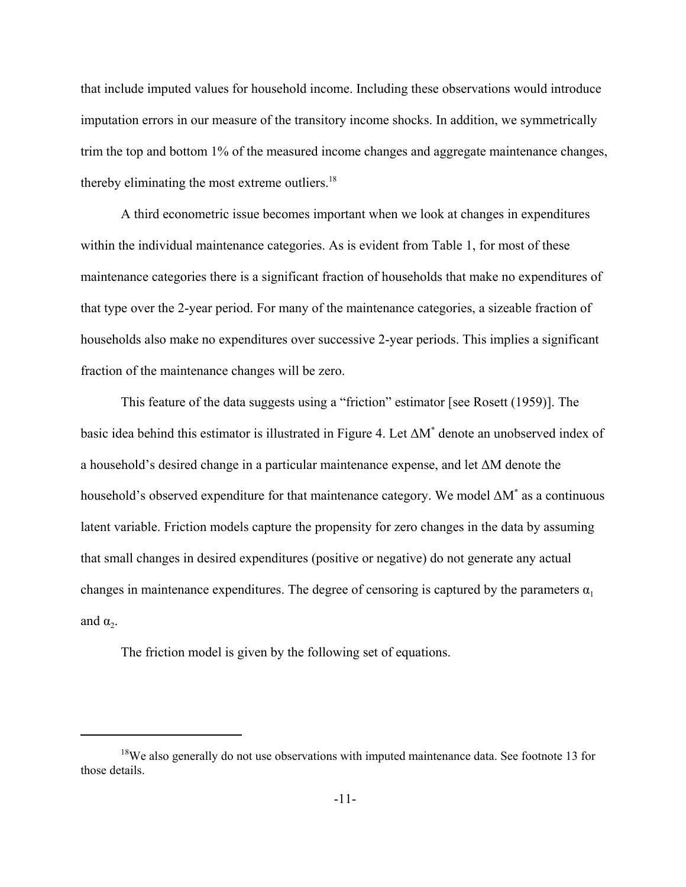that include imputed values for household income. Including these observations would introduce imputation errors in our measure of the transitory income shocks. In addition, we symmetrically trim the top and bottom 1% of the measured income changes and aggregate maintenance changes, thereby eliminating the most extreme outliers. $18$ 

A third econometric issue becomes important when we look at changes in expenditures within the individual maintenance categories. As is evident from Table 1, for most of these maintenance categories there is a significant fraction of households that make no expenditures of that type over the 2-year period. For many of the maintenance categories, a sizeable fraction of households also make no expenditures over successive 2-year periods. This implies a significant fraction of the maintenance changes will be zero.

This feature of the data suggests using a "friction" estimator [see Rosett (1959)]. The basic idea behind this estimator is illustrated in Figure 4. Let ∆M\* denote an unobserved index of a household's desired change in a particular maintenance expense, and let ∆M denote the household's observed expenditure for that maintenance category. We model ∆M<sup>\*</sup> as a continuous latent variable. Friction models capture the propensity for zero changes in the data by assuming that small changes in desired expenditures (positive or negative) do not generate any actual changes in maintenance expenditures. The degree of censoring is captured by the parameters  $\alpha_1$ and  $\alpha$ .

The friction model is given by the following set of equations.

 $18$ We also generally do not use observations with imputed maintenance data. See footnote 13 for those details.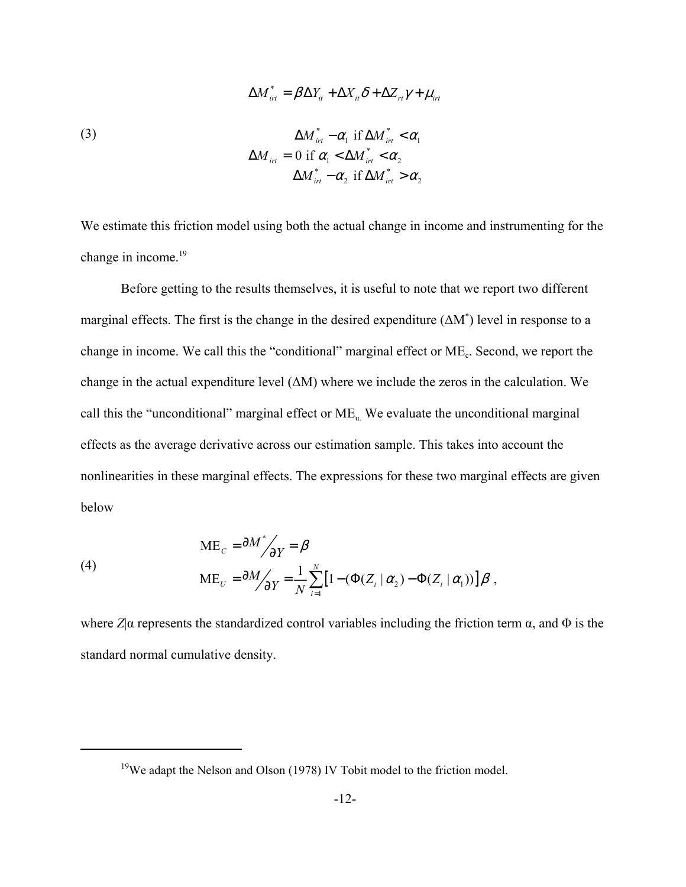(3)  
\n
$$
\Delta M_{int}^* = \beta \Delta Y_{it} + \Delta X_{it} \delta + \Delta Z_{rt} \gamma + \mu_{int}
$$
\n
$$
\Delta M_{int}^* - \alpha_1 \text{ if } \Delta M_{int}^* < \alpha_1
$$
\n
$$
\Delta M_{int} = 0 \text{ if } \alpha_1 < \Delta M_{int}^* < \alpha_2
$$
\n
$$
\Delta M_{int}^* - \alpha_2 \text{ if } \Delta M_{int}^* > \alpha_2
$$

We estimate this friction model using both the actual change in income and instrumenting for the change in income.<sup>19</sup>

Before getting to the results themselves, it is useful to note that we report two different marginal effects. The first is the change in the desired expenditure (ΔM<sup>\*</sup>) level in response to a change in income. We call this the "conditional" marginal effect or ME<sub>c</sub>. Second, we report the change in the actual expenditure level  $(\Delta M)$  where we include the zeros in the calculation. We call this the "unconditional" marginal effect or  $ME<sub>u</sub>$ . We evaluate the unconditional marginal effects as the average derivative across our estimation sample. This takes into account the nonlinearities in these marginal effects. The expressions for these two marginal effects are given below

(4)  
\n
$$
ME_{C} = \frac{\partial M^*}{\partial Y} = \beta
$$
\n
$$
ME_{U} = \frac{\partial M}{\partial Y} = \frac{1}{N} \sum_{i=1}^{N} \left[ 1 - (\Phi(Z_i \mid \alpha_2) - \Phi(Z_i \mid \alpha_1)) \right] \beta,
$$

where  $Z|\alpha$  represents the standardized control variables including the friction term  $\alpha$ , and  $\Phi$  is the standard normal cumulative density.

<sup>&</sup>lt;sup>19</sup>We adapt the Nelson and Olson (1978) IV Tobit model to the friction model.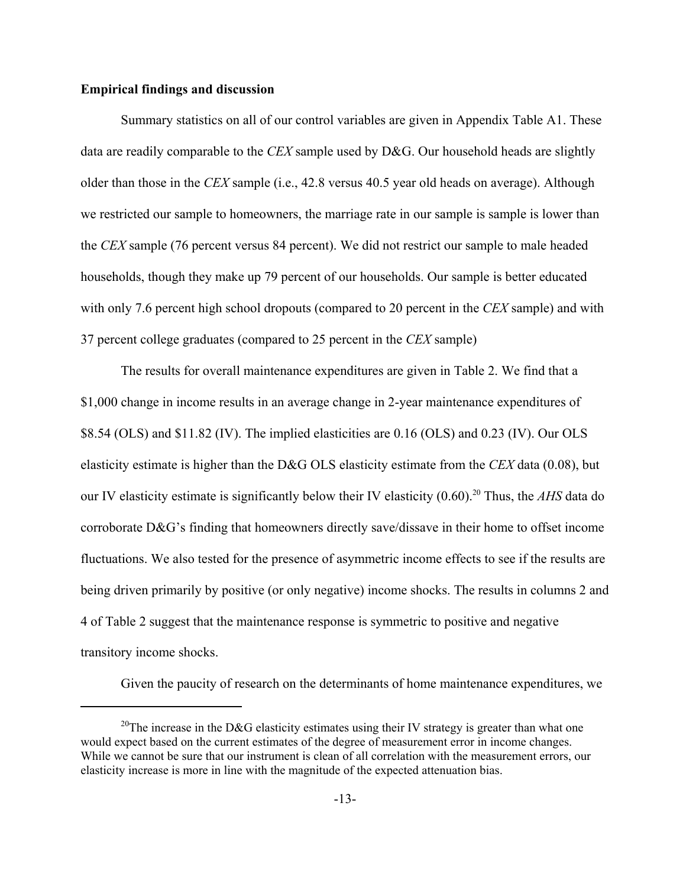### **Empirical findings and discussion**

Summary statistics on all of our control variables are given in Appendix Table A1. These data are readily comparable to the *CEX* sample used by D&G. Our household heads are slightly older than those in the *CEX* sample (i.e., 42.8 versus 40.5 year old heads on average). Although we restricted our sample to homeowners, the marriage rate in our sample is sample is lower than the *CEX* sample (76 percent versus 84 percent). We did not restrict our sample to male headed households, though they make up 79 percent of our households. Our sample is better educated with only 7.6 percent high school dropouts (compared to 20 percent in the *CEX* sample) and with 37 percent college graduates (compared to 25 percent in the *CEX* sample)

The results for overall maintenance expenditures are given in Table 2. We find that a \$1,000 change in income results in an average change in 2-year maintenance expenditures of \$8.54 (OLS) and \$11.82 (IV). The implied elasticities are 0.16 (OLS) and 0.23 (IV). Our OLS elasticity estimate is higher than the D&G OLS elasticity estimate from the *CEX* data (0.08), but our IV elasticity estimate is significantly below their IV elasticity (0.60).20 Thus, the *AHS* data do corroborate D&G's finding that homeowners directly save/dissave in their home to offset income fluctuations. We also tested for the presence of asymmetric income effects to see if the results are being driven primarily by positive (or only negative) income shocks. The results in columns 2 and 4 of Table 2 suggest that the maintenance response is symmetric to positive and negative transitory income shocks.

Given the paucity of research on the determinants of home maintenance expenditures, we

<sup>&</sup>lt;sup>20</sup>The increase in the D&G elasticity estimates using their IV strategy is greater than what one would expect based on the current estimates of the degree of measurement error in income changes. While we cannot be sure that our instrument is clean of all correlation with the measurement errors, our elasticity increase is more in line with the magnitude of the expected attenuation bias.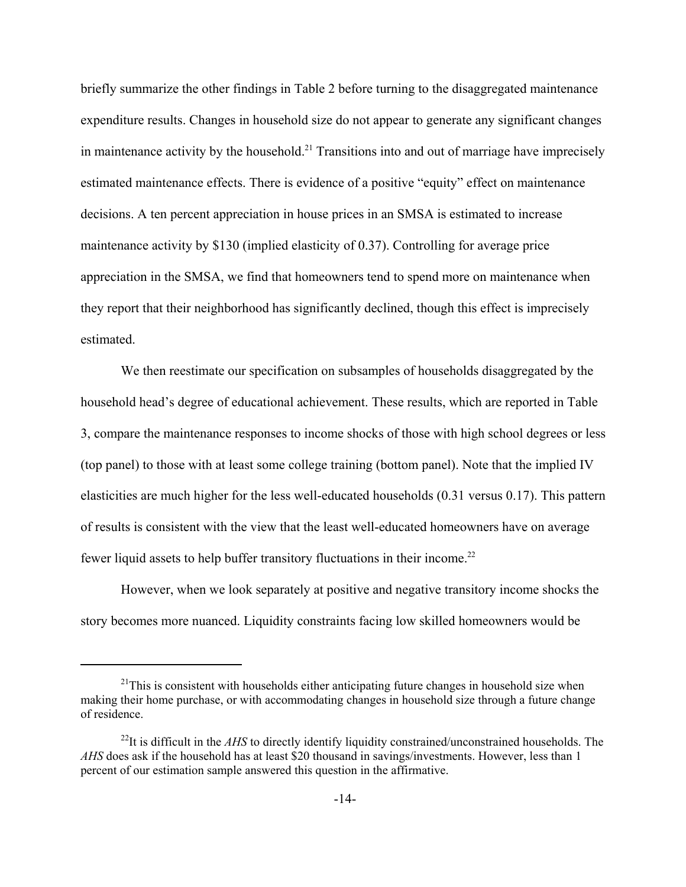briefly summarize the other findings in Table 2 before turning to the disaggregated maintenance expenditure results. Changes in household size do not appear to generate any significant changes in maintenance activity by the household.<sup>21</sup> Transitions into and out of marriage have imprecisely estimated maintenance effects. There is evidence of a positive "equity" effect on maintenance decisions. A ten percent appreciation in house prices in an SMSA is estimated to increase maintenance activity by \$130 (implied elasticity of 0.37). Controlling for average price appreciation in the SMSA, we find that homeowners tend to spend more on maintenance when they report that their neighborhood has significantly declined, though this effect is imprecisely estimated.

We then reestimate our specification on subsamples of households disaggregated by the household head's degree of educational achievement. These results, which are reported in Table 3, compare the maintenance responses to income shocks of those with high school degrees or less (top panel) to those with at least some college training (bottom panel). Note that the implied IV elasticities are much higher for the less well-educated households (0.31 versus 0.17). This pattern of results is consistent with the view that the least well-educated homeowners have on average fewer liquid assets to help buffer transitory fluctuations in their income.<sup>22</sup>

However, when we look separately at positive and negative transitory income shocks the story becomes more nuanced. Liquidity constraints facing low skilled homeowners would be

 $^{21}$ This is consistent with households either anticipating future changes in household size when making their home purchase, or with accommodating changes in household size through a future change of residence.

<sup>&</sup>lt;sup>22</sup>It is difficult in the *AHS* to directly identify liquidity constrained/unconstrained households. The *AHS* does ask if the household has at least \$20 thousand in savings/investments. However, less than 1 percent of our estimation sample answered this question in the affirmative.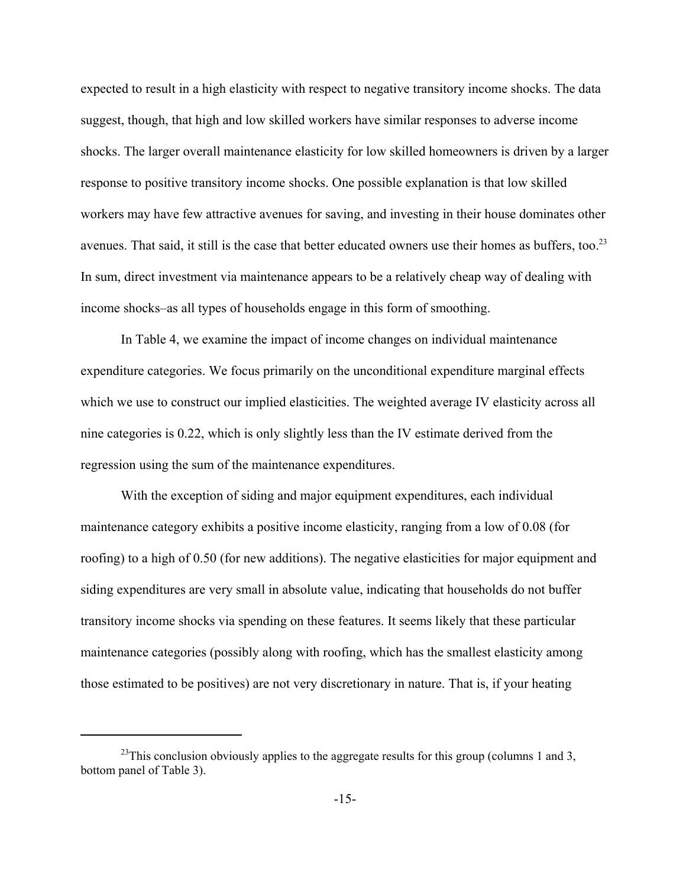expected to result in a high elasticity with respect to negative transitory income shocks. The data suggest, though, that high and low skilled workers have similar responses to adverse income shocks. The larger overall maintenance elasticity for low skilled homeowners is driven by a larger response to positive transitory income shocks. One possible explanation is that low skilled workers may have few attractive avenues for saving, and investing in their house dominates other avenues. That said, it still is the case that better educated owners use their homes as buffers, too.<sup>23</sup> In sum, direct investment via maintenance appears to be a relatively cheap way of dealing with income shocks–as all types of households engage in this form of smoothing.

In Table 4, we examine the impact of income changes on individual maintenance expenditure categories. We focus primarily on the unconditional expenditure marginal effects which we use to construct our implied elasticities. The weighted average IV elasticity across all nine categories is 0.22, which is only slightly less than the IV estimate derived from the regression using the sum of the maintenance expenditures.

With the exception of siding and major equipment expenditures, each individual maintenance category exhibits a positive income elasticity, ranging from a low of 0.08 (for roofing) to a high of 0.50 (for new additions). The negative elasticities for major equipment and siding expenditures are very small in absolute value, indicating that households do not buffer transitory income shocks via spending on these features. It seems likely that these particular maintenance categories (possibly along with roofing, which has the smallest elasticity among those estimated to be positives) are not very discretionary in nature. That is, if your heating

 $^{23}$ This conclusion obviously applies to the aggregate results for this group (columns 1 and 3, bottom panel of Table 3).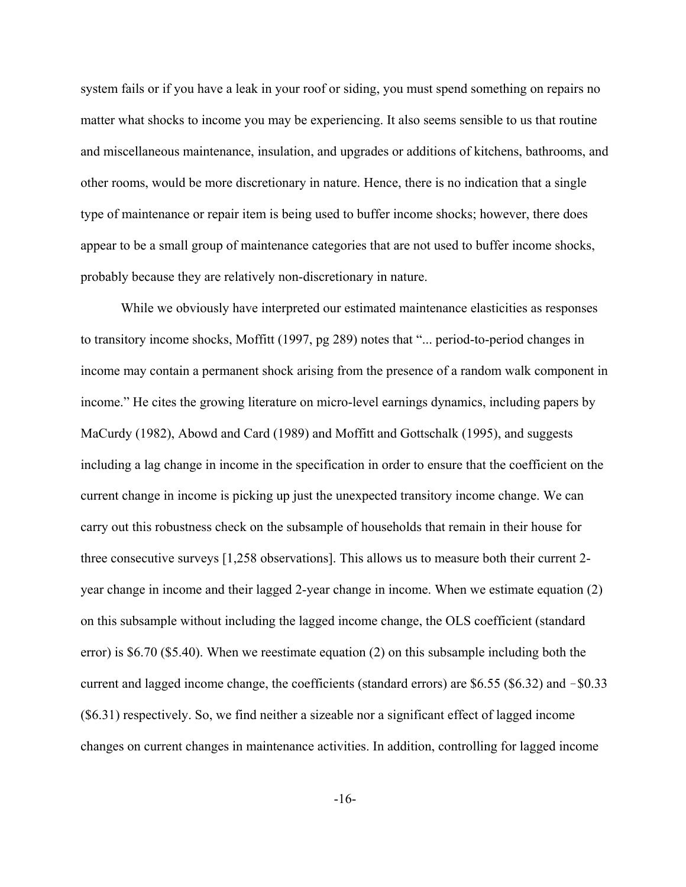system fails or if you have a leak in your roof or siding, you must spend something on repairs no matter what shocks to income you may be experiencing. It also seems sensible to us that routine and miscellaneous maintenance, insulation, and upgrades or additions of kitchens, bathrooms, and other rooms, would be more discretionary in nature. Hence, there is no indication that a single type of maintenance or repair item is being used to buffer income shocks; however, there does appear to be a small group of maintenance categories that are not used to buffer income shocks, probably because they are relatively non-discretionary in nature.

While we obviously have interpreted our estimated maintenance elasticities as responses to transitory income shocks, Moffitt (1997, pg 289) notes that "... period-to-period changes in income may contain a permanent shock arising from the presence of a random walk component in income." He cites the growing literature on micro-level earnings dynamics, including papers by MaCurdy (1982), Abowd and Card (1989) and Moffitt and Gottschalk (1995), and suggests including a lag change in income in the specification in order to ensure that the coefficient on the current change in income is picking up just the unexpected transitory income change. We can carry out this robustness check on the subsample of households that remain in their house for three consecutive surveys [1,258 observations]. This allows us to measure both their current 2 year change in income and their lagged 2-year change in income. When we estimate equation (2) on this subsample without including the lagged income change, the OLS coefficient (standard error) is \$6.70 (\$5.40). When we reestimate equation (2) on this subsample including both the current and lagged income change, the coefficients (standard errors) are  $$6.55$  ( $$6.32$ ) and  $$0.33$ (\$6.31) respectively. So, we find neither a sizeable nor a significant effect of lagged income changes on current changes in maintenance activities. In addition, controlling for lagged income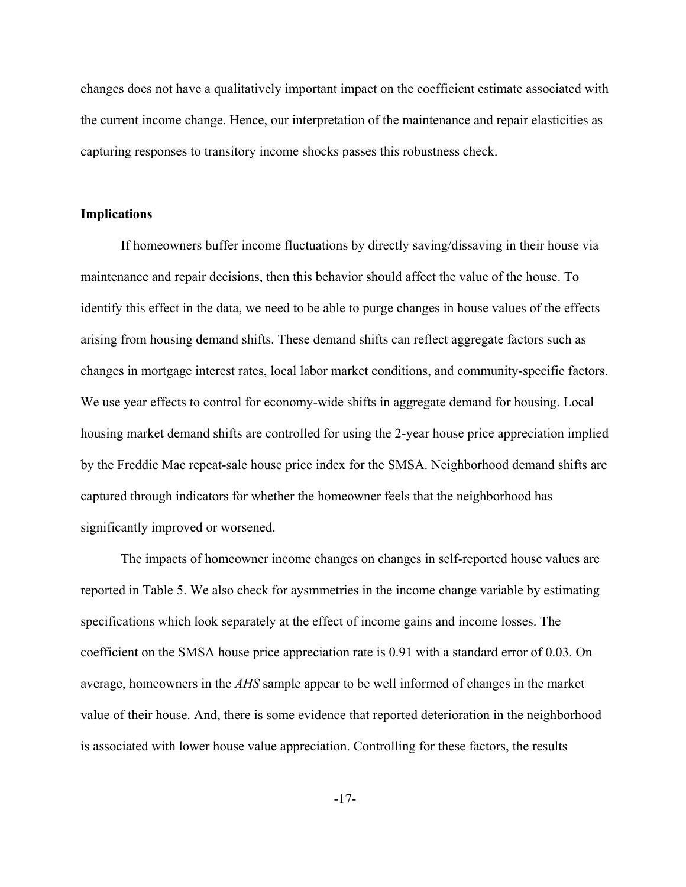changes does not have a qualitatively important impact on the coefficient estimate associated with the current income change. Hence, our interpretation of the maintenance and repair elasticities as capturing responses to transitory income shocks passes this robustness check.

#### **Implications**

If homeowners buffer income fluctuations by directly saving/dissaving in their house via maintenance and repair decisions, then this behavior should affect the value of the house. To identify this effect in the data, we need to be able to purge changes in house values of the effects arising from housing demand shifts. These demand shifts can reflect aggregate factors such as changes in mortgage interest rates, local labor market conditions, and community-specific factors. We use year effects to control for economy-wide shifts in aggregate demand for housing. Local housing market demand shifts are controlled for using the 2-year house price appreciation implied by the Freddie Mac repeat-sale house price index for the SMSA. Neighborhood demand shifts are captured through indicators for whether the homeowner feels that the neighborhood has significantly improved or worsened.

The impacts of homeowner income changes on changes in self-reported house values are reported in Table 5. We also check for aysmmetries in the income change variable by estimating specifications which look separately at the effect of income gains and income losses. The coefficient on the SMSA house price appreciation rate is 0.91 with a standard error of 0.03. On average, homeowners in the *AHS* sample appear to be well informed of changes in the market value of their house. And, there is some evidence that reported deterioration in the neighborhood is associated with lower house value appreciation. Controlling for these factors, the results

-17-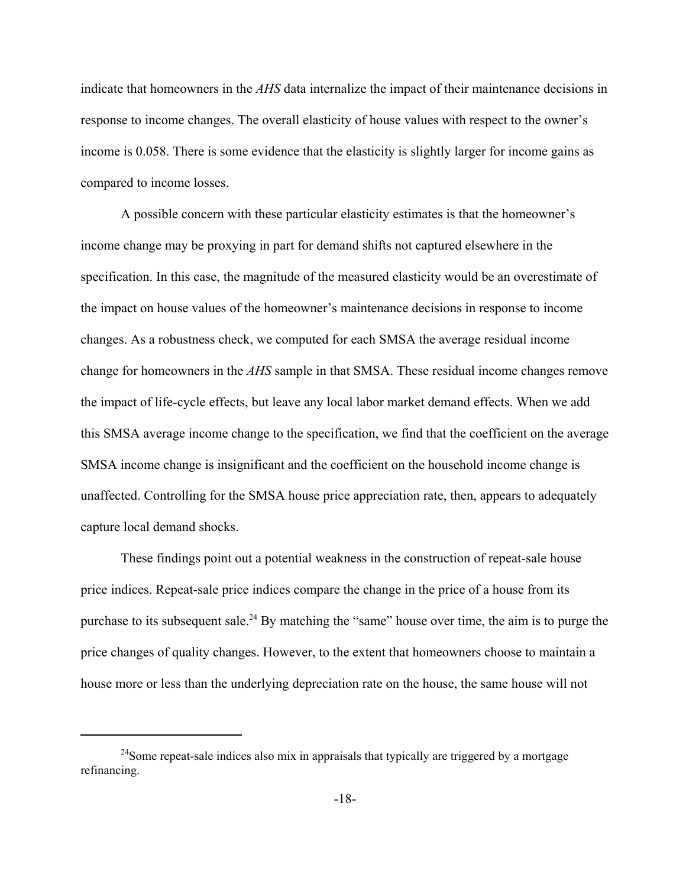indicate that homeowners in the *AHS* data internalize the impact of their maintenance decisions in response to income changes. The overall elasticity of house values with respect to the owner's income is 0.058. There is some evidence that the elasticity is slightly larger for income gains as compared to income losses.

A possible concern with these particular elasticity estimates is that the homeowner's income change may be proxying in part for demand shifts not captured elsewhere in the specification. In this case, the magnitude of the measured elasticity would be an overestimate of the impact on house values of the homeowner's maintenance decisions in response to income changes. As a robustness check, we computed for each SMSA the average residual income change for homeowners in the *AHS* sample in that SMSA. These residual income changes remove the impact of life-cycle effects, but leave any local labor market demand effects. When we add this SMSA average income change to the specification, we find that the coefficient on the average SMSA income change is insignificant and the coefficient on the household income change is unaffected. Controlling for the SMSA house price appreciation rate, then, appears to adequately capture local demand shocks.

These findings point out a potential weakness in the construction of repeat-sale house price indices. Repeat-sale price indices compare the change in the price of a house from its purchase to its subsequent sale.<sup>24</sup> By matching the "same" house over time, the aim is to purge the price changes of quality changes. However, to the extent that homeowners choose to maintain a house more or less than the underlying depreciation rate on the house, the same house will not

<sup>&</sup>lt;sup>24</sup>Some repeat-sale indices also mix in appraisals that typically are triggered by a mortgage refinancing.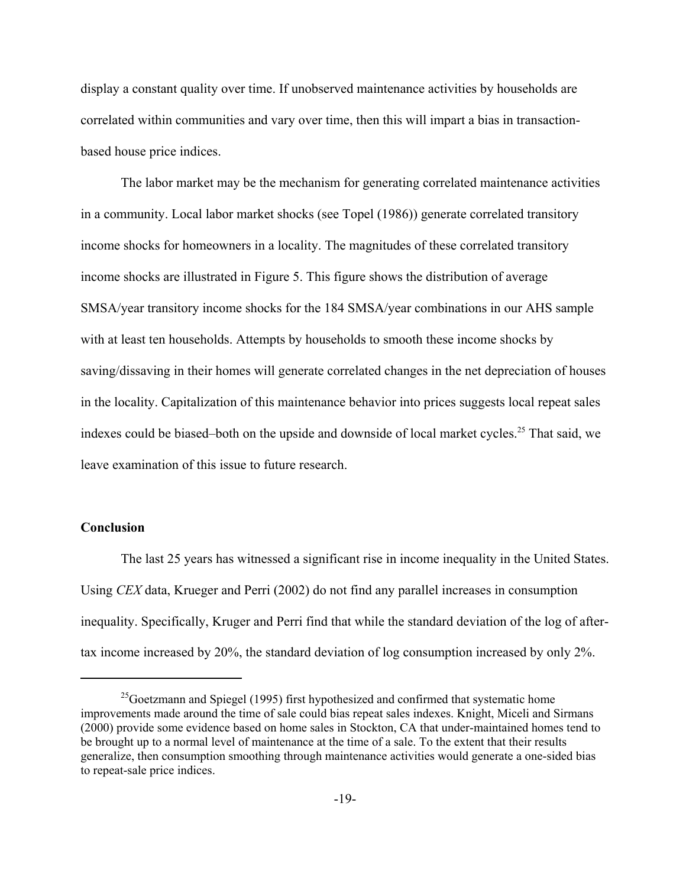display a constant quality over time. If unobserved maintenance activities by households are correlated within communities and vary over time, then this will impart a bias in transactionbased house price indices.

The labor market may be the mechanism for generating correlated maintenance activities in a community. Local labor market shocks (see Topel (1986)) generate correlated transitory income shocks for homeowners in a locality. The magnitudes of these correlated transitory income shocks are illustrated in Figure 5. This figure shows the distribution of average SMSA/year transitory income shocks for the 184 SMSA/year combinations in our AHS sample with at least ten households. Attempts by households to smooth these income shocks by saving/dissaving in their homes will generate correlated changes in the net depreciation of houses in the locality. Capitalization of this maintenance behavior into prices suggests local repeat sales indexes could be biased–both on the upside and downside of local market cycles.<sup>25</sup> That said, we leave examination of this issue to future research.

### **Conclusion**

The last 25 years has witnessed a significant rise in income inequality in the United States. Using *CEX* data, Krueger and Perri (2002) do not find any parallel increases in consumption inequality. Specifically, Kruger and Perri find that while the standard deviation of the log of aftertax income increased by 20%, the standard deviation of log consumption increased by only 2%.

 $^{25}$ Goetzmann and Spiegel (1995) first hypothesized and confirmed that systematic home improvements made around the time of sale could bias repeat sales indexes. Knight, Miceli and Sirmans (2000) provide some evidence based on home sales in Stockton, CA that under-maintained homes tend to be brought up to a normal level of maintenance at the time of a sale. To the extent that their results generalize, then consumption smoothing through maintenance activities would generate a one-sided bias to repeat-sale price indices.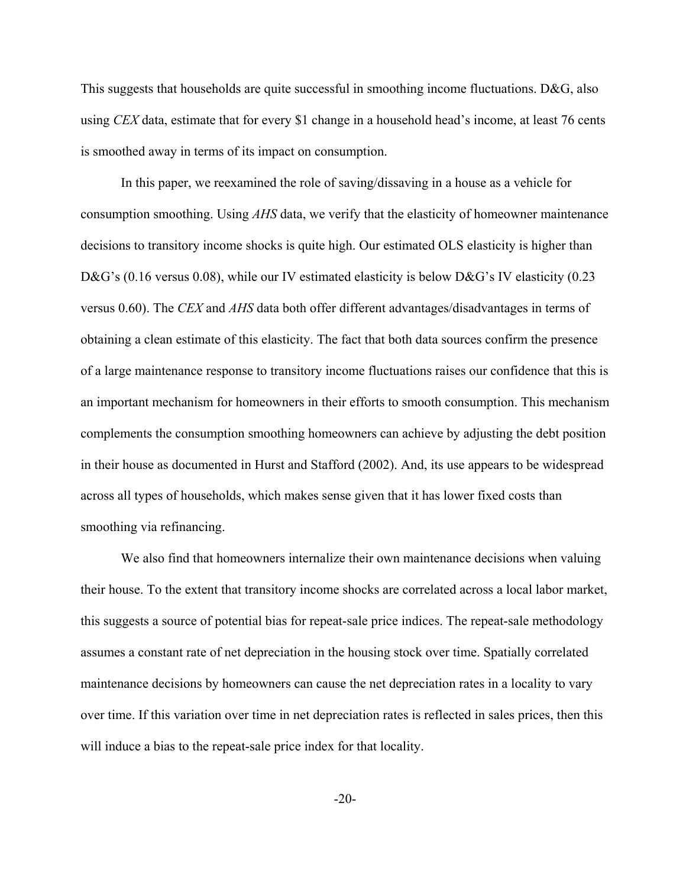This suggests that households are quite successful in smoothing income fluctuations. D&G, also using *CEX* data, estimate that for every \$1 change in a household head's income, at least 76 cents is smoothed away in terms of its impact on consumption.

In this paper, we reexamined the role of saving/dissaving in a house as a vehicle for consumption smoothing. Using *AHS* data, we verify that the elasticity of homeowner maintenance decisions to transitory income shocks is quite high. Our estimated OLS elasticity is higher than D&G's (0.16 versus 0.08), while our IV estimated elasticity is below D&G's IV elasticity (0.23 versus 0.60). The *CEX* and *AHS* data both offer different advantages/disadvantages in terms of obtaining a clean estimate of this elasticity. The fact that both data sources confirm the presence of a large maintenance response to transitory income fluctuations raises our confidence that this is an important mechanism for homeowners in their efforts to smooth consumption. This mechanism complements the consumption smoothing homeowners can achieve by adjusting the debt position in their house as documented in Hurst and Stafford (2002). And, its use appears to be widespread across all types of households, which makes sense given that it has lower fixed costs than smoothing via refinancing.

We also find that homeowners internalize their own maintenance decisions when valuing their house. To the extent that transitory income shocks are correlated across a local labor market, this suggests a source of potential bias for repeat-sale price indices. The repeat-sale methodology assumes a constant rate of net depreciation in the housing stock over time. Spatially correlated maintenance decisions by homeowners can cause the net depreciation rates in a locality to vary over time. If this variation over time in net depreciation rates is reflected in sales prices, then this will induce a bias to the repeat-sale price index for that locality.

-20-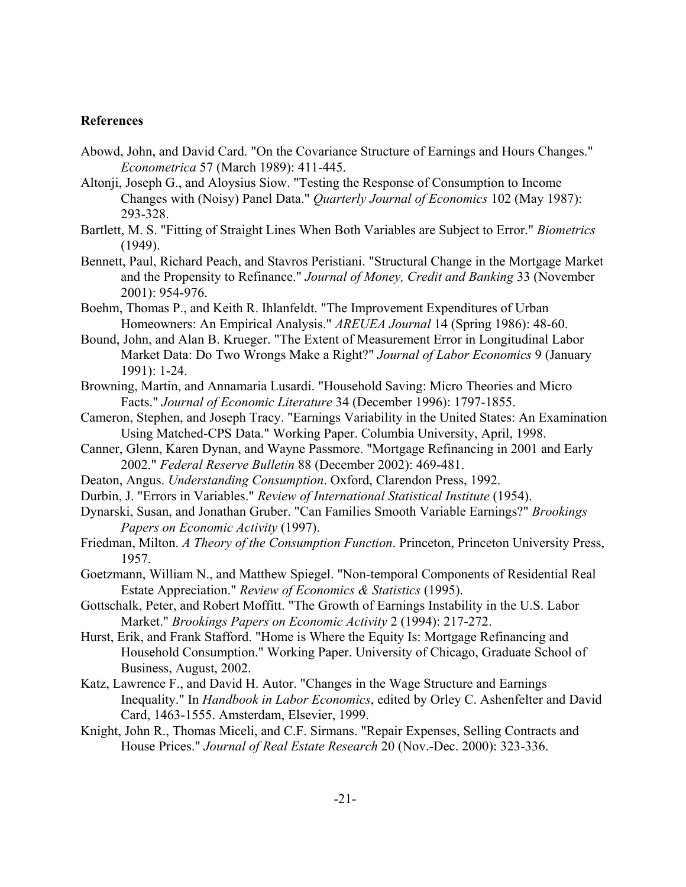### **References**

- Abowd, John, and David Card. "On the Covariance Structure of Earnings and Hours Changes." *Econometrica* 57 (March 1989): 411-445.
- Altonji, Joseph G., and Aloysius Siow. "Testing the Response of Consumption to Income Changes with (Noisy) Panel Data." *Quarterly Journal of Economics* 102 (May 1987): 293-328.
- Bartlett, M. S. "Fitting of Straight Lines When Both Variables are Subject to Error." *Biometrics* (1949).
- Bennett, Paul, Richard Peach, and Stavros Peristiani. "Structural Change in the Mortgage Market and the Propensity to Refinance." *Journal of Money, Credit and Banking* 33 (November 2001): 954-976.
- Boehm, Thomas P., and Keith R. Ihlanfeldt. "The Improvement Expenditures of Urban Homeowners: An Empirical Analysis." *AREUEA Journal* 14 (Spring 1986): 48-60.
- Bound, John, and Alan B. Krueger. "The Extent of Measurement Error in Longitudinal Labor Market Data: Do Two Wrongs Make a Right?" *Journal of Labor Economics* 9 (January 1991): 1-24.
- Browning, Martin, and Annamaria Lusardi. "Household Saving: Micro Theories and Micro Facts." *Journal of Economic Literature* 34 (December 1996): 1797-1855.
- Cameron, Stephen, and Joseph Tracy. "Earnings Variability in the United States: An Examination Using Matched-CPS Data." Working Paper. Columbia University, April, 1998.
- Canner, Glenn, Karen Dynan, and Wayne Passmore. "Mortgage Refinancing in 2001 and Early 2002." *Federal Reserve Bulletin* 88 (December 2002): 469-481.
- Deaton, Angus. *Understanding Consumption*. Oxford, Clarendon Press, 1992.
- Durbin, J. "Errors in Variables." *Review of International Statistical Institute* (1954).
- Dynarski, Susan, and Jonathan Gruber. "Can Families Smooth Variable Earnings?" *Brookings Papers on Economic Activity* (1997).
- Friedman, Milton. *A Theory of the Consumption Function*. Princeton, Princeton University Press, 1957.
- Goetzmann, William N., and Matthew Spiegel. "Non-temporal Components of Residential Real Estate Appreciation." *Review of Economics & Statistics* (1995).
- Gottschalk, Peter, and Robert Moffitt. "The Growth of Earnings Instability in the U.S. Labor Market." *Brookings Papers on Economic Activity* 2 (1994): 217-272.
- Hurst, Erik, and Frank Stafford. "Home is Where the Equity Is: Mortgage Refinancing and Household Consumption." Working Paper. University of Chicago, Graduate School of Business, August, 2002.
- Katz, Lawrence F., and David H. Autor. "Changes in the Wage Structure and Earnings Inequality." In *Handbook in Labor Economics*, edited by Orley C. Ashenfelter and David Card, 1463-1555. Amsterdam, Elsevier, 1999.
- Knight, John R., Thomas Miceli, and C.F. Sirmans. "Repair Expenses, Selling Contracts and House Prices." *Journal of Real Estate Research* 20 (Nov.-Dec. 2000): 323-336.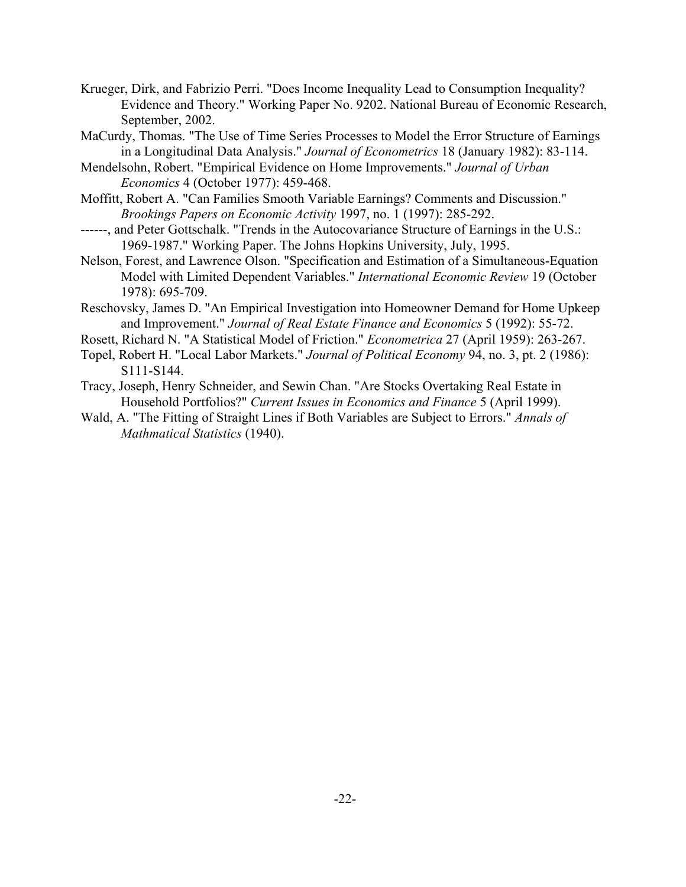- Krueger, Dirk, and Fabrizio Perri. "Does Income Inequality Lead to Consumption Inequality? Evidence and Theory." Working Paper No. 9202. National Bureau of Economic Research, September, 2002.
- MaCurdy, Thomas. "The Use of Time Series Processes to Model the Error Structure of Earnings in a Longitudinal Data Analysis." *Journal of Econometrics* 18 (January 1982): 83-114.
- Mendelsohn, Robert. "Empirical Evidence on Home Improvements." *Journal of Urban Economics* 4 (October 1977): 459-468.
- Moffitt, Robert A. "Can Families Smooth Variable Earnings? Comments and Discussion." *Brookings Papers on Economic Activity* 1997, no. 1 (1997): 285-292.
- ------, and Peter Gottschalk. "Trends in the Autocovariance Structure of Earnings in the U.S.: 1969-1987." Working Paper. The Johns Hopkins University, July, 1995.
- Nelson, Forest, and Lawrence Olson. "Specification and Estimation of a Simultaneous-Equation Model with Limited Dependent Variables." *International Economic Review* 19 (October 1978): 695-709.
- Reschovsky, James D. "An Empirical Investigation into Homeowner Demand for Home Upkeep and Improvement." *Journal of Real Estate Finance and Economics* 5 (1992): 55-72.
- Rosett, Richard N. "A Statistical Model of Friction." *Econometrica* 27 (April 1959): 263-267.
- Topel, Robert H. "Local Labor Markets." *Journal of Political Economy* 94, no. 3, pt. 2 (1986): S111-S144.
- Tracy, Joseph, Henry Schneider, and Sewin Chan. "Are Stocks Overtaking Real Estate in Household Portfolios?" *Current Issues in Economics and Finance* 5 (April 1999).
- Wald, A. "The Fitting of Straight Lines if Both Variables are Subject to Errors." *Annals of Mathmatical Statistics* (1940).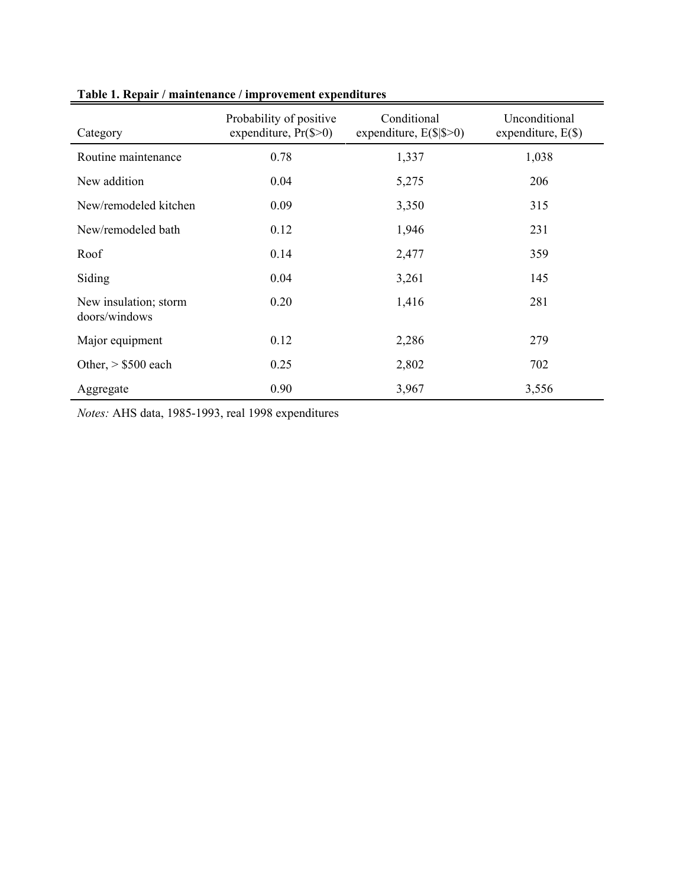| Category                               | Probability of positive<br>expenditure, $Pr(S>0)$ | Conditional<br>expenditure, $E(S S>0)$ | Unconditional<br>expenditure, $E(\$)$ |
|----------------------------------------|---------------------------------------------------|----------------------------------------|---------------------------------------|
| Routine maintenance                    | 0.78                                              | 1,337                                  | 1,038                                 |
| New addition                           | 0.04                                              | 5,275                                  | 206                                   |
| New/remodeled kitchen                  | 0.09                                              | 3,350                                  | 315                                   |
| New/remodeled bath                     | 0.12                                              | 1,946                                  | 231                                   |
| Roof                                   | 0.14                                              | 2,477                                  | 359                                   |
| Siding                                 | 0.04                                              | 3,261                                  | 145                                   |
| New insulation; storm<br>doors/windows | 0.20                                              | 1,416                                  | 281                                   |
| Major equipment                        | 0.12                                              | 2,286                                  | 279                                   |
| Other, $>$ \$500 each                  | 0.25                                              | 2,802                                  | 702                                   |
| Aggregate                              | 0.90                                              | 3,967                                  | 3,556                                 |

# **Table 1. Repair / maintenance / improvement expenditures**

*Notes:* AHS data, 1985-1993, real 1998 expenditures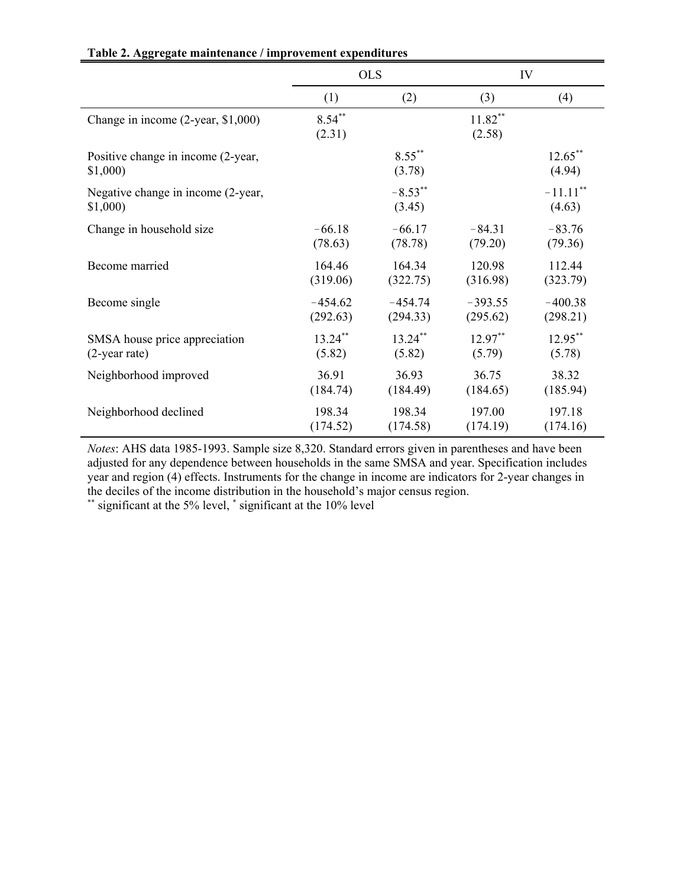|                                               | <b>OLS</b>          |                      | IV                  |                       |
|-----------------------------------------------|---------------------|----------------------|---------------------|-----------------------|
|                                               | (1)                 | (2)                  | (3)                 | (4)                   |
| Change in income (2-year, \$1,000)            | $8.54***$<br>(2.31) |                      | $11.82**$<br>(2.58) |                       |
| Positive change in income (2-year,<br>\$1,000 |                     | $8.55***$<br>(3.78)  |                     | $12.65***$<br>(4.94)  |
| Negative change in income (2-year,<br>\$1,000 |                     | $-8.53***$<br>(3.45) |                     | $-11.11$ **<br>(4.63) |
| Change in household size                      | $-66.18$            | $-66.17$             | $-84.31$            | $-83.76$              |
|                                               | (78.63)             | (78.78)              | (79.20)             | (79.36)               |
| Become married                                | 164.46              | 164.34               | 120.98              | 112.44                |
|                                               | (319.06)            | (322.75)             | (316.98)            | (323.79)              |
| Become single                                 | $-454.62$           | $-454.74$            | $-393.55$           | $-400.38$             |
|                                               | (292.63)            | (294.33)             | (295.62)            | (298.21)              |
| SMSA house price appreciation                 | $13.24***$          | $13.24$ **           | $12.97***$          | $12.95***$            |
| $(2$ -year rate)                              | (5.82)              | (5.82)               | (5.79)              | (5.78)                |
| Neighborhood improved                         | 36.91               | 36.93                | 36.75               | 38.32                 |
|                                               | (184.74)            | (184.49)             | (184.65)            | (185.94)              |
| Neighborhood declined                         | 198.34              | 198.34               | 197.00              | 197.18                |
|                                               | (174.52)            | (174.58)             | (174.19)            | (174.16)              |

**Table 2. Aggregate maintenance / improvement expenditures**

*Notes*: AHS data 1985-1993. Sample size 8,320. Standard errors given in parentheses and have been adjusted for any dependence between households in the same SMSA and year. Specification includes year and region (4) effects. Instruments for the change in income are indicators for 2-year changes in the deciles of the income distribution in the household's major census region.

\*\* significant at the 5% level, \* significant at the 10% level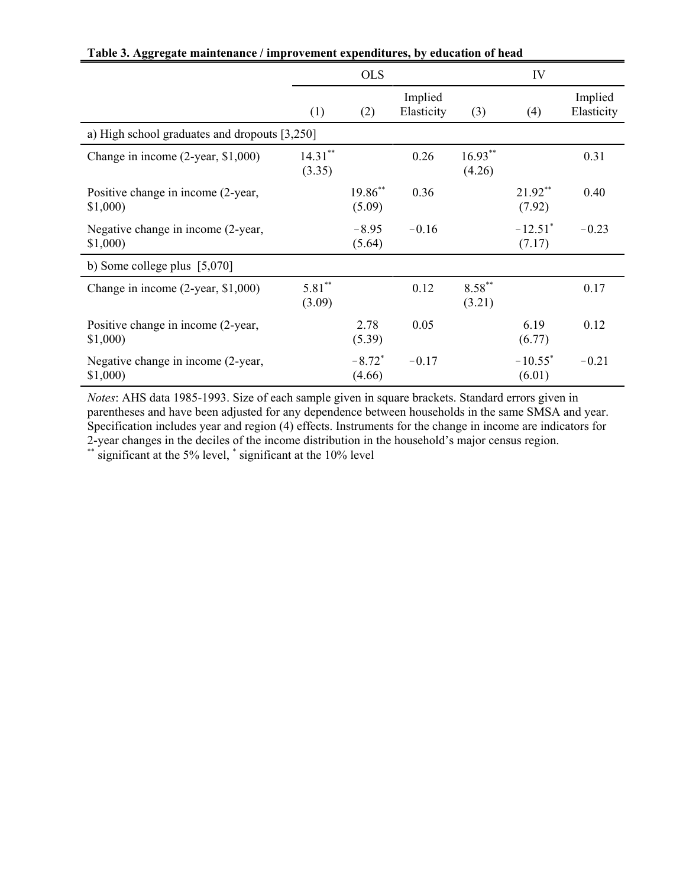|                                                | <b>OLS</b>           |                                |                       | IV                  |                                 |                       |
|------------------------------------------------|----------------------|--------------------------------|-----------------------|---------------------|---------------------------------|-----------------------|
|                                                | (1)                  | (2)                            | Implied<br>Elasticity | (3)                 | (4)                             | Implied<br>Elasticity |
| a) High school graduates and dropouts [3,250]  |                      |                                |                       |                     |                                 |                       |
| Change in income (2-year, \$1,000)             | $14.31***$<br>(3.35) |                                | 0.26                  | $16.93**$<br>(4.26) |                                 | 0.31                  |
| Positive change in income (2-year,<br>\$1,000  |                      | 19.86**<br>(5.09)              | 0.36                  |                     | $21.92**$<br>(7.92)             | 0.40                  |
| Negative change in income (2-year,<br>\$1,000  |                      | $-8.95$<br>(5.64)              | $-0.16$               |                     | $-12.51$ <sup>*</sup><br>(7.17) | $-0.23$               |
| b) Some college plus $[5,070]$                 |                      |                                |                       |                     |                                 |                       |
| Change in income (2-year, \$1,000)             | $5.81**$<br>(3.09)   |                                | 0.12                  | $8.58***$<br>(3.21) |                                 | 0.17                  |
| Positive change in income (2-year,<br>\$1,000) |                      | 2.78<br>(5.39)                 | 0.05                  |                     | 6.19<br>(6.77)                  | 0.12                  |
| Negative change in income (2-year,<br>\$1,000  |                      | $-8.72$ <sup>*</sup><br>(4.66) | $-0.17$               |                     | $-10.55^*$<br>(6.01)            | $-0.21$               |

**Table 3. Aggregate maintenance / improvement expenditures, by education of head**

*Notes*: AHS data 1985-1993. Size of each sample given in square brackets. Standard errors given in parentheses and have been adjusted for any dependence between households in the same SMSA and year. Specification includes year and region (4) effects. Instruments for the change in income are indicators for 2-year changes in the deciles of the income distribution in the household's major census region.

\*\* significant at the 5% level, \* significant at the 10% level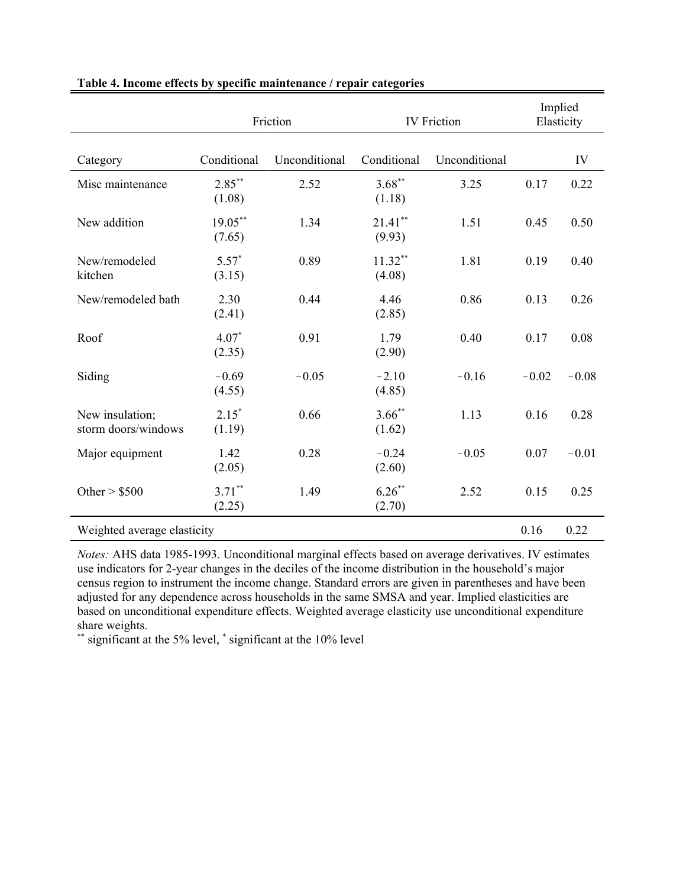|                                        |                      | Friction<br><b>IV</b> Friction |                      |               | Implied<br>Elasticity |         |
|----------------------------------------|----------------------|--------------------------------|----------------------|---------------|-----------------------|---------|
| Category                               | Conditional          | Unconditional                  | Conditional          | Unconditional |                       | IV      |
| Misc maintenance                       | $2.85***$<br>(1.08)  | 2.52                           | $3.68***$<br>(1.18)  | 3.25          | 0.17                  | 0.22    |
| New addition                           | $19.05***$<br>(7.65) | 1.34                           | $21.41$ **<br>(9.93) | 1.51          | 0.45                  | 0.50    |
| New/remodeled<br>kitchen               | $5.57*$<br>(3.15)    | 0.89                           | $11.32**$<br>(4.08)  | 1.81          | 0.19                  | 0.40    |
| New/remodeled bath                     | 2.30<br>(2.41)       | 0.44                           | 4.46<br>(2.85)       | 0.86          | 0.13                  | 0.26    |
| Roof                                   | $4.07*$<br>(2.35)    | 0.91                           | 1.79<br>(2.90)       | 0.40          | 0.17                  | 0.08    |
| Siding                                 | $-0.69$<br>(4.55)    | $-0.05$                        | $-2.10$<br>(4.85)    | $-0.16$       | $-0.02$               | $-0.08$ |
| New insulation;<br>storm doors/windows | $2.15*$<br>(1.19)    | 0.66                           | $3.66$ **<br>(1.62)  | 1.13          | 0.16                  | 0.28    |
| Major equipment                        | 1.42<br>(2.05)       | 0.28                           | $-0.24$<br>(2.60)    | $-0.05$       | 0.07                  | $-0.01$ |
| Other $>$ \$500                        | $3.71***$<br>(2.25)  | 1.49                           | $6.26***$<br>(2.70)  | 2.52          | 0.15                  | 0.25    |
| Weighted average elasticity            |                      |                                |                      |               |                       | 0.22    |

#### **Table 4. Income effects by specific maintenance / repair categories**

*Notes:* AHS data 1985-1993. Unconditional marginal effects based on average derivatives. IV estimates use indicators for 2-year changes in the deciles of the income distribution in the household's major census region to instrument the income change. Standard errors are given in parentheses and have been adjusted for any dependence across households in the same SMSA and year. Implied elasticities are based on unconditional expenditure effects. Weighted average elasticity use unconditional expenditure share weights.

\*\* significant at the 5% level, \* significant at the 10% level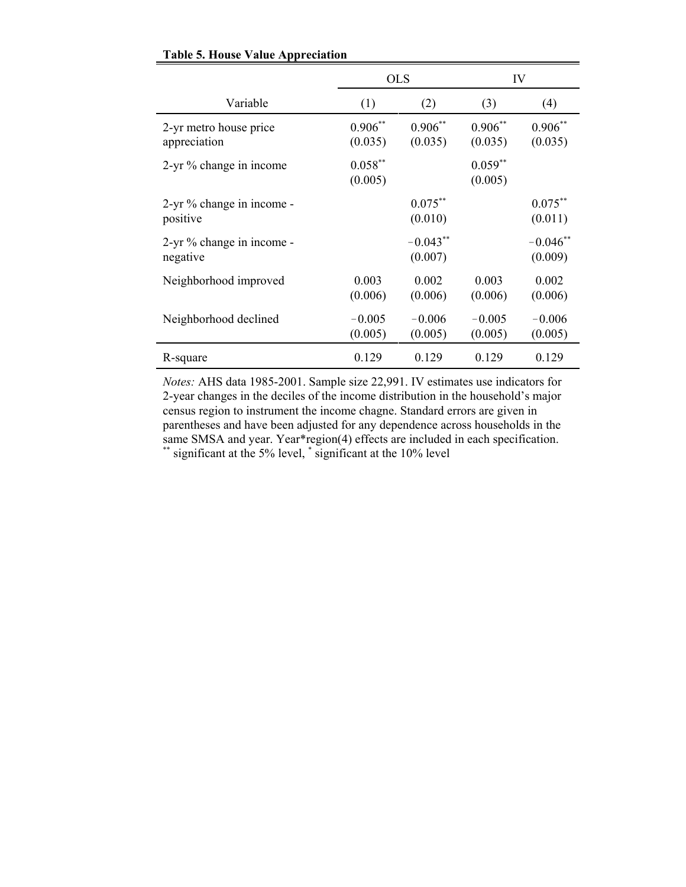|                                        |                      | <b>OLS</b>              | IV                   |                       |  |
|----------------------------------------|----------------------|-------------------------|----------------------|-----------------------|--|
| Variable                               | (1)                  | (2)                     | (3)                  | (4)                   |  |
| 2-yr metro house price<br>appreciation | $0.906**$<br>(0.035) | $0.906^{**}$<br>(0.035) | $0.906**$<br>(0.035) | $0.906**$<br>(0.035)  |  |
| 2-yr % change in income                | $0.058**$<br>(0.005) |                         | $0.059**$<br>(0.005) |                       |  |
| 2-yr % change in income -<br>positive  |                      | $0.075***$<br>(0.010)   |                      | $0.075$ **<br>(0.011) |  |
| 2-yr % change in income -<br>negative  |                      | $-0.043**$<br>(0.007)   |                      | $-0.046**$<br>(0.009) |  |
| Neighborhood improved                  | 0.003<br>(0.006)     | 0.002<br>(0.006)        | 0.003<br>(0.006)     | 0.002<br>(0.006)      |  |
| Neighborhood declined                  | $-0.005$<br>(0.005)  | $-0.006$<br>(0.005)     | $-0.005$<br>(0.005)  | $-0.006$<br>(0.005)   |  |
| R-square                               | 0.129                | 0.129                   | 0.129                | 0.129                 |  |

### **Table 5. House Value Appreciation**

*Notes:* AHS data 1985-2001. Sample size 22,991. IV estimates use indicators for 2-year changes in the deciles of the income distribution in the household's major census region to instrument the income chagne. Standard errors are given in parentheses and have been adjusted for any dependence across households in the same SMSA and year. Year\*region(4) effects are included in each specification. \*\* significant at the 5% level, \* significant at the 10% level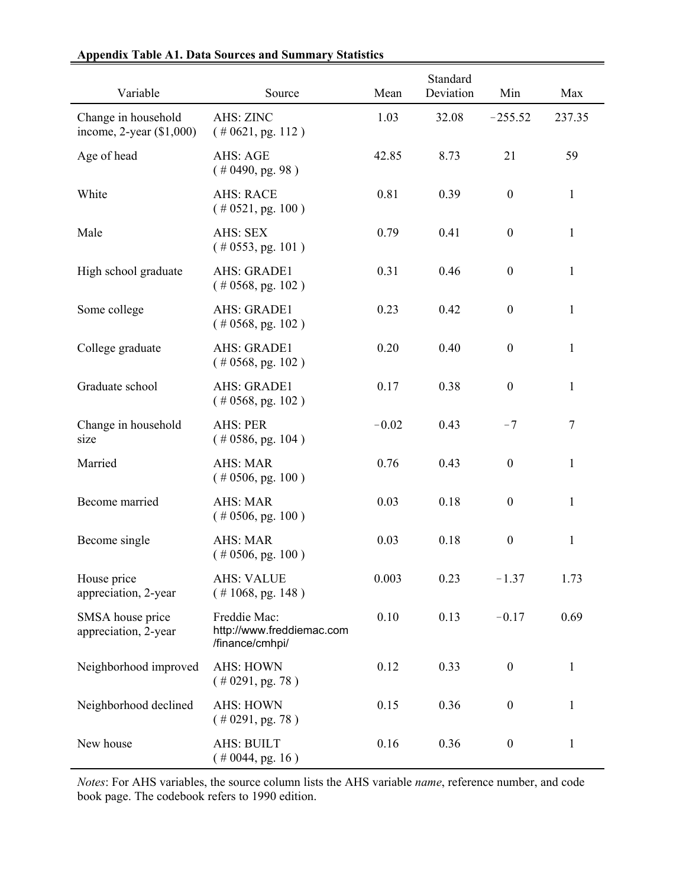| Variable                                             | Source                                                       | Mean    | Standard<br>Deviation | Min              | Max          |
|------------------------------------------------------|--------------------------------------------------------------|---------|-----------------------|------------------|--------------|
| Change in household<br>income, $2$ -year $(\$1,000)$ | AHS: ZINC<br>$($ # 0621, pg. 112)                            | 1.03    | 32.08                 | $-255.52$        | 237.35       |
| Age of head                                          | AHS: AGE<br>$($ # 0490, pg. 98)                              | 42.85   | 8.73                  | 21               | 59           |
| White                                                | <b>AHS: RACE</b><br>$(\# 0521, \text{pg. } 100)$             | 0.81    | 0.39                  | $\boldsymbol{0}$ | $\mathbf{1}$ |
| Male                                                 | AHS: SEX<br>$(* 0553, pg. 101)$                              | 0.79    | 0.41                  | $\boldsymbol{0}$ | 1            |
| High school graduate                                 | AHS: GRADE1<br>$($ # 0568, pg. 102)                          | 0.31    | 0.46                  | $\boldsymbol{0}$ | 1            |
| Some college                                         | AHS: GRADE1<br>$($ # 0568, pg. 102)                          | 0.23    | 0.42                  | $\boldsymbol{0}$ | $\mathbf{1}$ |
| College graduate                                     | AHS: GRADE1<br>$($ # 0568, pg. 102)                          | 0.20    | 0.40                  | $\boldsymbol{0}$ | $\mathbf{1}$ |
| Graduate school                                      | AHS: GRADE1<br>$($ # 0568, pg. 102)                          | 0.17    | 0.38                  | $\boldsymbol{0}$ | 1            |
| Change in household<br>size                          | <b>AHS: PER</b><br>$(\# 0586, \text{pg. } 104)$              | $-0.02$ | 0.43                  | $-7$             | 7            |
| Married                                              | <b>AHS: MAR</b><br>$(\# 0506, \text{pg. } 100)$              | 0.76    | 0.43                  | $\boldsymbol{0}$ | $\mathbf{1}$ |
| Become married                                       | <b>AHS: MAR</b><br>$($ # 0506, pg. 100)                      | 0.03    | 0.18                  | $\boldsymbol{0}$ | 1            |
| Become single                                        | <b>AHS: MAR</b><br>$(\# 0506, \text{pg. } 100)$              | 0.03    | 0.18                  | $\boldsymbol{0}$ | 1            |
| House price<br>appreciation, 2-year                  | <b>AHS: VALUE</b><br>$($ # 1068, pg. 148)                    | 0.003   | 0.23                  | $-1.37$          | 1.73         |
| SMSA house price<br>appreciation, 2-year             | Freddie Mac:<br>http://www.freddiemac.com<br>/finance/cmhpi/ | 0.10    | 0.13                  | $-0.17$          | 0.69         |
| Neighborhood improved                                | <b>AHS: HOWN</b><br>$(* 0291, pg. 78)$                       | 0.12    | 0.33                  | $\boldsymbol{0}$ | $\mathbf{1}$ |
| Neighborhood declined                                | <b>AHS: HOWN</b><br>$(* 0291, pg. 78)$                       | 0.15    | 0.36                  | $\boldsymbol{0}$ | $\mathbf{1}$ |
| New house                                            | <b>AHS: BUILT</b><br>$(* 0044, pg. 16)$                      | 0.16    | 0.36                  | $\boldsymbol{0}$ | $\mathbf{1}$ |

## **Appendix Table A1. Data Sources and Summary Statistics**

*Notes*: For AHS variables, the source column lists the AHS variable *name*, reference number, and code book page. The codebook refers to 1990 edition.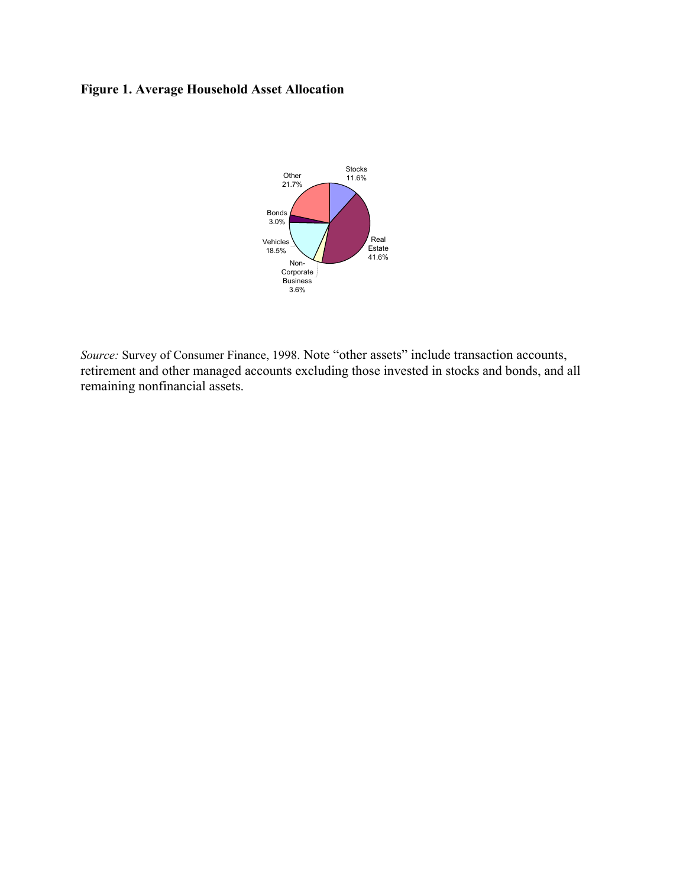# **Figure 1. Average Household Asset Allocation**



*Source:* Survey of Consumer Finance, 1998. Note "other assets" include transaction accounts, retirement and other managed accounts excluding those invested in stocks and bonds, and all remaining nonfinancial assets.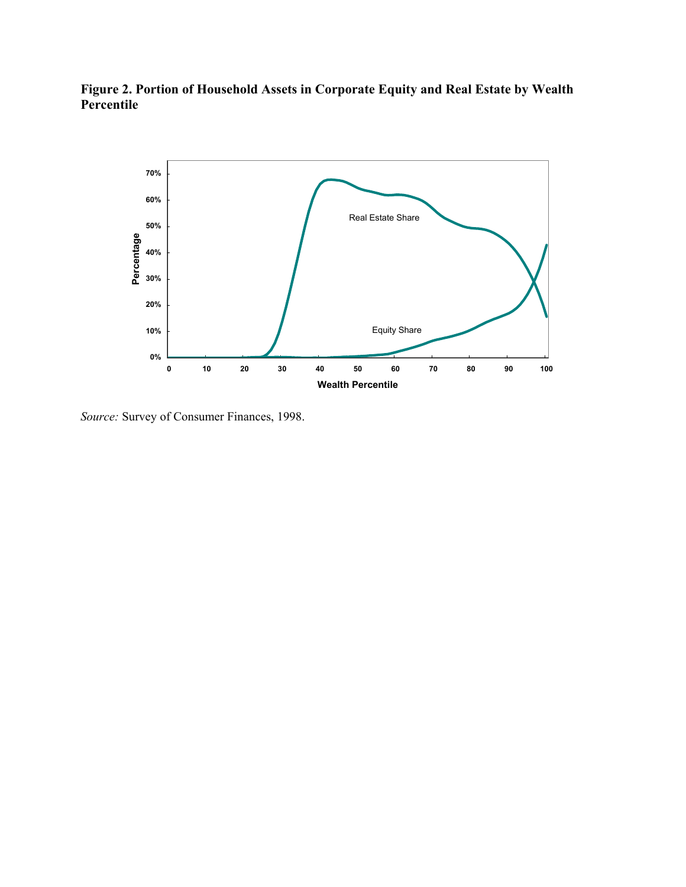



*Source:* Survey of Consumer Finances, 1998.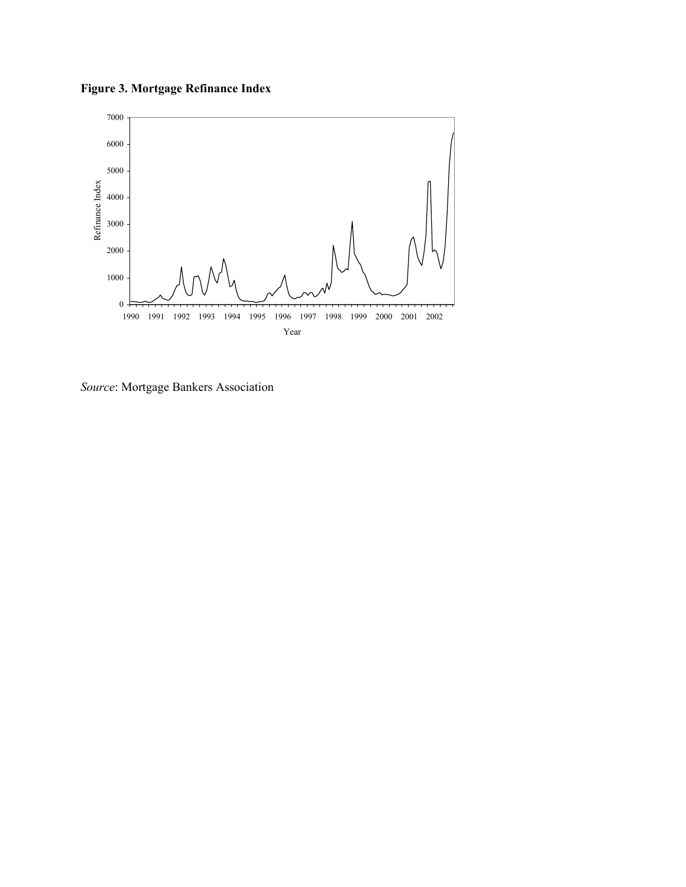**Figure 3. Mortgage Refinance Index**



*Source*: Mortgage Bankers Association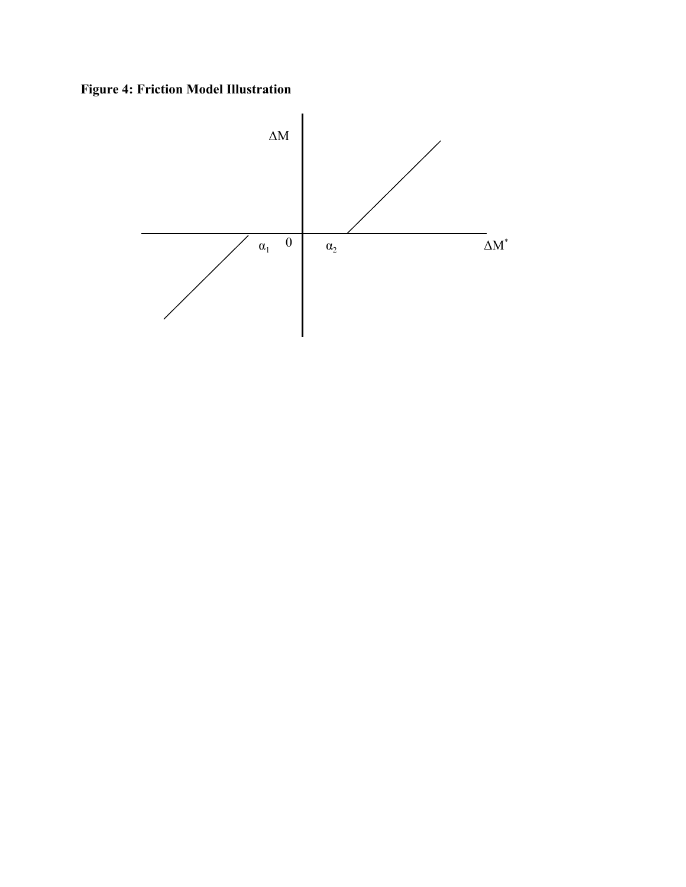**Figure 4: Friction Model Illustration**